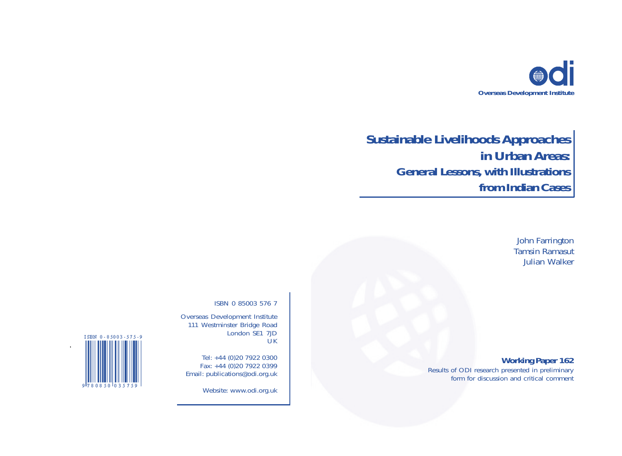

# **Sustainable Livelihoods Approaches in Urban Areas: General Lessons, with Illustrations from Indian Cases**

John Farrington Tamsin Ramasut Julian Walker

# **Working Paper 162**

Results of ODI research presented in preliminary form for discussion and critical comment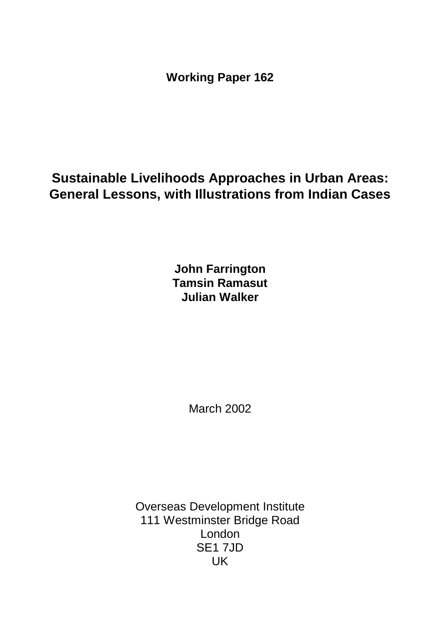**Working Paper 162**

# **Sustainable Livelihoods Approaches in Urban Areas: General Lessons, with Illustrations from Indian Cases**

**John Farrington Tamsin Ramasut Julian Walker**

March 2002

Overseas Development Institute 111 Westminster Bridge Road London SE1 7JD UK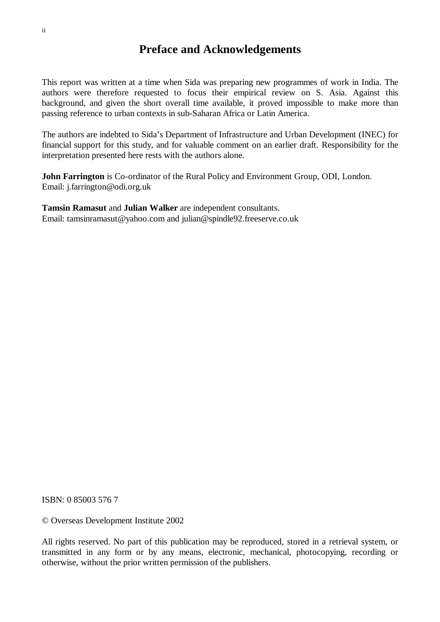# **Preface and Acknowledgements**

This report was written at a time when Sida was preparing new programmes of work in India. The authors were therefore requested to focus their empirical review on S. Asia. Against this background, and given the short overall time available, it proved impossible to make more than passing reference to urban contexts in sub-Saharan Africa or Latin America.

The authors are indebted to Sida's Department of Infrastructure and Urban Development (INEC) for financial support for this study, and for valuable comment on an earlier draft. Responsibility for the interpretation presented here rests with the authors alone.

**John Farrington** is Co-ordinator of the Rural Policy and Environment Group, ODI, London. Email: j.farrington@odi.org.uk

**Tamsin Ramasut** and **Julian Walker** are independent consultants. Email: tamsinramasut@yahoo.com and julian@spindle92.freeserve.co.uk

ISBN: 0 85003 576 7

© Overseas Development Institute 2002

All rights reserved. No part of this publication may be reproduced, stored in a retrieval system, or transmitted in any form or by any means, electronic, mechanical, photocopying, recording or otherwise, without the prior written permission of the publishers.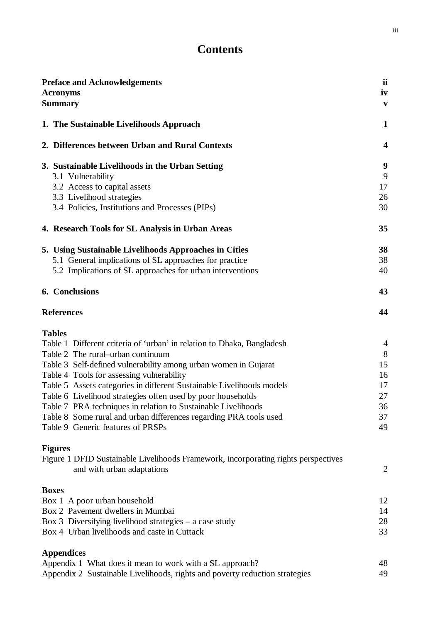# **Contents**

| <b>Preface and Acknowledgements</b>                                                                    | ii             |
|--------------------------------------------------------------------------------------------------------|----------------|
| <b>Acronyms</b>                                                                                        | iv             |
| <b>Summary</b>                                                                                         | $\mathbf{v}$   |
| 1. The Sustainable Livelihoods Approach                                                                | $\mathbf{1}$   |
| 2. Differences between Urban and Rural Contexts                                                        | 4              |
| 3. Sustainable Livelihoods in the Urban Setting                                                        | 9              |
| 3.1 Vulnerability                                                                                      | 9              |
| 3.2 Access to capital assets                                                                           | 17             |
| 3.3 Livelihood strategies                                                                              | 26             |
| 3.4 Policies, Institutions and Processes (PIPs)                                                        | 30             |
| 4. Research Tools for SL Analysis in Urban Areas                                                       | 35             |
| 5. Using Sustainable Livelihoods Approaches in Cities                                                  | 38             |
| 5.1 General implications of SL approaches for practice                                                 | 38             |
| 5.2 Implications of SL approaches for urban interventions                                              | 40             |
| 6. Conclusions                                                                                         | 43             |
| <b>References</b>                                                                                      | 44             |
| <b>Tables</b>                                                                                          |                |
| Table 1 Different criteria of 'urban' in relation to Dhaka, Bangladesh                                 | $\overline{4}$ |
| Table 2 The rural–urban continuum                                                                      | 8              |
| Table 3 Self-defined vulnerability among urban women in Gujarat                                        | 15             |
| Table 4 Tools for assessing vulnerability                                                              | 16             |
| Table 5 Assets categories in different Sustainable Livelihoods models                                  | 17             |
| Table 6 Livelihood strategies often used by poor households                                            | 27             |
| Table 7 PRA techniques in relation to Sustainable Livelihoods                                          | 36             |
| Table 8 Some rural and urban differences regarding PRA tools used<br>Table 9 Generic features of PRSPs | 37<br>49       |
|                                                                                                        |                |
| <b>Figures</b>                                                                                         |                |
| Figure 1 DFID Sustainable Livelihoods Framework, incorporating rights perspectives                     |                |
| and with urban adaptations                                                                             | $\overline{2}$ |
| <b>Boxes</b>                                                                                           |                |
| Box 1 A poor urban household                                                                           | 12             |
| Box 2 Pavement dwellers in Mumbai                                                                      | 14             |
| Box 3 Diversifying livelihood strategies $-$ a case study                                              | 28             |
| Box 4 Urban livelihoods and caste in Cuttack                                                           | 33             |
| <b>Appendices</b>                                                                                      |                |
|                                                                                                        |                |

Appendix 1 What does it mean to work with a SL approach? 48 Appendix 2 Sustainable Livelihoods, rights and poverty reduction strategies 49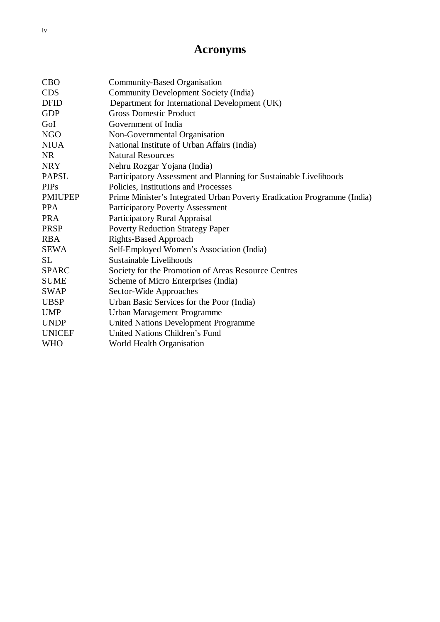# **Acronyms**

| <b>CBO</b>     | Community-Based Organisation                                            |
|----------------|-------------------------------------------------------------------------|
| <b>CDS</b>     | Community Development Society (India)                                   |
| <b>DFID</b>    | Department for International Development (UK)                           |
| <b>GDP</b>     | <b>Gross Domestic Product</b>                                           |
| GoI            | Government of India                                                     |
| <b>NGO</b>     | Non-Governmental Organisation                                           |
| <b>NIUA</b>    | National Institute of Urban Affairs (India)                             |
| <b>NR</b>      | <b>Natural Resources</b>                                                |
| <b>NRY</b>     | Nehru Rozgar Yojana (India)                                             |
| <b>PAPSL</b>   | Participatory Assessment and Planning for Sustainable Livelihoods       |
| <b>PIPs</b>    | Policies, Institutions and Processes                                    |
| <b>PMIUPEP</b> | Prime Minister's Integrated Urban Poverty Eradication Programme (India) |
| <b>PPA</b>     | <b>Participatory Poverty Assessment</b>                                 |
| <b>PRA</b>     | <b>Participatory Rural Appraisal</b>                                    |
| <b>PRSP</b>    | <b>Poverty Reduction Strategy Paper</b>                                 |
| <b>RBA</b>     | <b>Rights-Based Approach</b>                                            |
| SEWA           | Self-Employed Women's Association (India)                               |
| <b>SL</b>      | Sustainable Livelihoods                                                 |
| <b>SPARC</b>   | Society for the Promotion of Areas Resource Centres                     |
| <b>SUME</b>    | Scheme of Micro Enterprises (India)                                     |
| <b>SWAP</b>    | Sector-Wide Approaches                                                  |
| <b>UBSP</b>    | Urban Basic Services for the Poor (India)                               |
| <b>UMP</b>     | Urban Management Programme                                              |
| <b>UNDP</b>    | <b>United Nations Development Programme</b>                             |
| <b>UNICEF</b>  | United Nations Children's Fund                                          |
| <b>WHO</b>     | World Health Organisation                                               |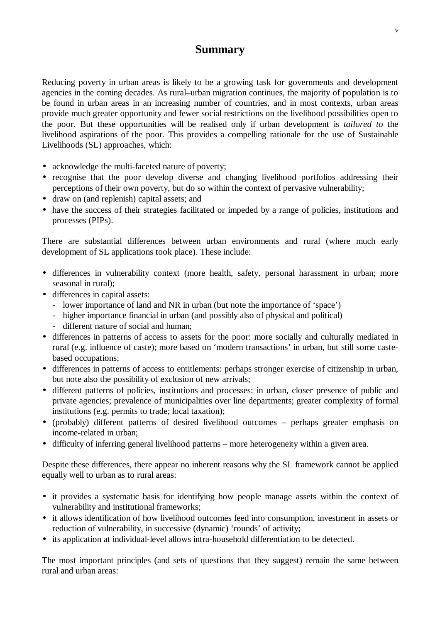# **Summary**

Reducing poverty in urban areas is likely to be a growing task for governments and development agencies in the coming decades. As rural–urban migration continues, the majority of population is to be found in urban areas in an increasing number of countries, and in most contexts, urban areas provide much greater opportunity and fewer social restrictions on the livelihood possibilities open to the poor. But these opportunities will be realised only if urban development is *tailored to* the livelihood aspirations of the poor. This provides a compelling rationale for the use of Sustainable Livelihoods (SL) approaches, which:

- acknowledge the multi-faceted nature of poverty;
- recognise that the poor develop diverse and changing livelihood portfolios addressing their perceptions of their own poverty, but do so within the context of pervasive vulnerability;
- draw on (and replenish) capital assets; and
- have the success of their strategies facilitated or impeded by a range of policies, institutions and processes (PIPs).

There are substantial differences between urban environments and rural (where much early development of SL applications took place). These include:

- differences in vulnerability context (more health, safety, personal harassment in urban; more seasonal in rural);
- differences in capital assets:
	- lower importance of land and NR in urban (but note the importance of 'space')
	- higher importance financial in urban (and possibly also of physical and political)
	- different nature of social and human;
- differences in patterns of access to assets for the poor: more socially and culturally mediated in rural (e.g. influence of caste); more based on 'modern transactions' in urban, but still some castebased occupations;
- differences in patterns of access to entitlements: perhaps stronger exercise of citizenship in urban, but note also the possibility of exclusion of new arrivals;
- different patterns of policies, institutions and processes: in urban, closer presence of public and private agencies; prevalence of municipalities over line departments; greater complexity of formal institutions (e.g. permits to trade; local taxation);
- (probably) different patterns of desired livelihood outcomes perhaps greater emphasis on income-related in urban;
- difficulty of inferring general livelihood patterns more heterogeneity within a given area.

Despite these differences, there appear no inherent reasons why the SL framework cannot be applied equally well to urban as to rural areas:

- it provides a systematic basis for identifying how people manage assets within the context of vulnerability and institutional frameworks;
- it allows identification of how livelihood outcomes feed into consumption, investment in assets or reduction of vulnerability, in successive (dynamic) 'rounds' of activity;
- its application at individual-level allows intra-household differentiation to be detected.

The most important principles (and sets of questions that they suggest) remain the same between rural and urban areas: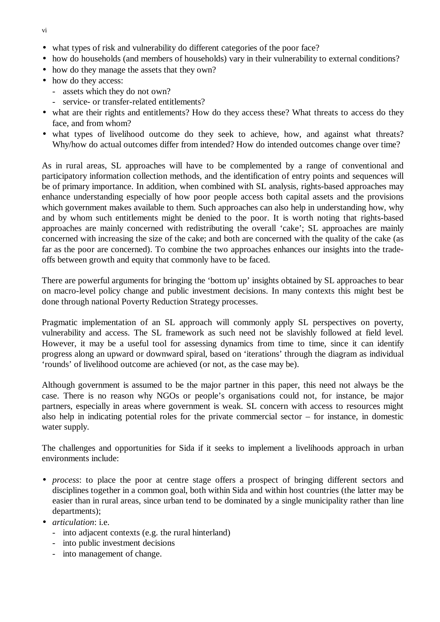- what types of risk and vulnerability do different categories of the poor face?
- how do households (and members of households) vary in their vulnerability to external conditions?
- how do they manage the assets that they own?
- how do they access:
	- assets which they do not own?
	- service- or transfer-related entitlements?
- what are their rights and entitlements? How do they access these? What threats to access do they face, and from whom?
- what types of livelihood outcome do they seek to achieve, how, and against what threats? Why/how do actual outcomes differ from intended? How do intended outcomes change over time?

As in rural areas, SL approaches will have to be complemented by a range of conventional and participatory information collection methods, and the identification of entry points and sequences will be of primary importance. In addition, when combined with SL analysis, rights-based approaches may enhance understanding especially of how poor people access both capital assets and the provisions which government makes available to them. Such approaches can also help in understanding how, why and by whom such entitlements might be denied to the poor. It is worth noting that rights-based approaches are mainly concerned with redistributing the overall 'cake'; SL approaches are mainly concerned with increasing the size of the cake; and both are concerned with the quality of the cake (as far as the poor are concerned). To combine the two approaches enhances our insights into the tradeoffs between growth and equity that commonly have to be faced.

There are powerful arguments for bringing the 'bottom up' insights obtained by SL approaches to bear on macro-level policy change and public investment decisions. In many contexts this might best be done through national Poverty Reduction Strategy processes.

Pragmatic implementation of an SL approach will commonly apply SL perspectives on poverty, vulnerability and access. The SL framework as such need not be slavishly followed at field level. However, it may be a useful tool for assessing dynamics from time to time, since it can identify progress along an upward or downward spiral, based on 'iterations' through the diagram as individual 'rounds' of livelihood outcome are achieved (or not, as the case may be).

Although government is assumed to be the major partner in this paper, this need not always be the case. There is no reason why NGOs or people's organisations could not, for instance, be major partners, especially in areas where government is weak. SL concern with access to resources might also help in indicating potential roles for the private commercial sector – for instance, in domestic water supply.

The challenges and opportunities for Sida if it seeks to implement a livelihoods approach in urban environments include:

- *process*: to place the poor at centre stage offers a prospect of bringing different sectors and disciplines together in a common goal, both within Sida and within host countries (the latter may be easier than in rural areas, since urban tend to be dominated by a single municipality rather than line departments);
- *articulation*: i.e.
	- into adjacent contexts (e.g. the rural hinterland)
	- into public investment decisions
	- into management of change.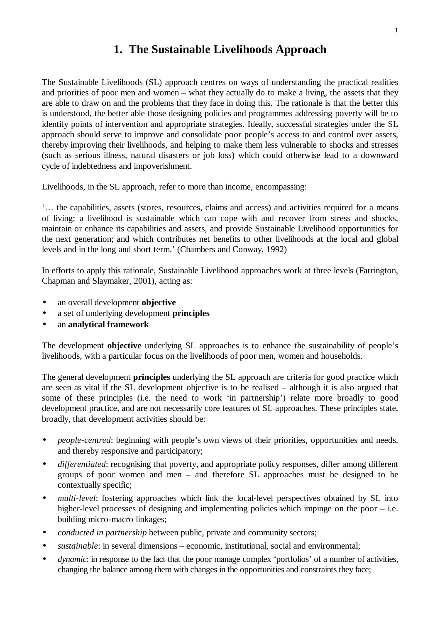# **1. The Sustainable Livelihoods Approach**

The Sustainable Livelihoods (SL) approach centres on ways of understanding the practical realities and priorities of poor men and women – what they actually do to make a living, the assets that they are able to draw on and the problems that they face in doing this. The rationale is that the better this is understood, the better able those designing policies and programmes addressing poverty will be to identify points of intervention and appropriate strategies. Ideally, successful strategies under the SL approach should serve to improve and consolidate poor people's access to and control over assets, thereby improving their livelihoods, and helping to make them less vulnerable to shocks and stresses (such as serious illness, natural disasters or job loss) which could otherwise lead to a downward cycle of indebtedness and impoverishment.

Livelihoods, in the SL approach, refer to more than income, encompassing:

'… the capabilities, assets (stores, resources, claims and access) and activities required for a means of living: a livelihood is sustainable which can cope with and recover from stress and shocks, maintain or enhance its capabilities and assets, and provide Sustainable Livelihood opportunities for the next generation; and which contributes net benefits to other livelihoods at the local and global levels and in the long and short term.' (Chambers and Conway, 1992)

In efforts to apply this rationale, Sustainable Livelihood approaches work at three levels (Farrington, Chapman and Slaymaker, 2001), acting as:

- an overall development **objective**
- a set of underlying development **principles**
- an **analytical framework**

The development **objective** underlying SL approaches is to enhance the sustainability of people's livelihoods, with a particular focus on the livelihoods of poor men, women and households.

The general development **principles** underlying the SL approach are criteria for good practice which are seen as vital if the SL development objective is to be realised – although it is also argued that some of these principles (i.e. the need to work 'in partnership') relate more broadly to good development practice, and are not necessarily core features of SL approaches. These principles state, broadly, that development activities should be:

- *people-centred*: beginning with people's own views of their priorities, opportunities and needs, and thereby responsive and participatory;
- *differentiated*: recognising that poverty, and appropriate policy responses, differ among different groups of poor women and men – and therefore SL approaches must be designed to be contextually specific;
- *multi-level*: fostering approaches which link the local-level perspectives obtained by SL into higher-level processes of designing and implementing policies which impinge on the poor – i.e. building micro-macro linkages;
- *conducted in partnership* between public, private and community sectors;
- *sustainable*: in several dimensions economic, institutional, social and environmental;
- *dynamic*: in response to the fact that the poor manage complex 'portfolios' of a number of activities, changing the balance among them with changes in the opportunities and constraints they face;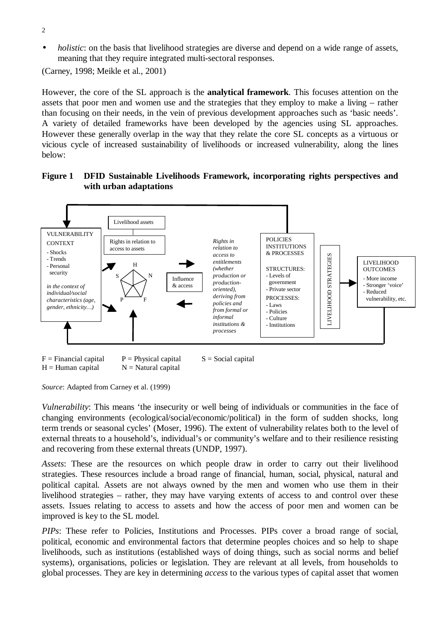- 2
- *holistic*: on the basis that livelihood strategies are diverse and depend on a wide range of assets, meaning that they require integrated multi-sectoral responses.

(Carney, 1998; Meikle et al., 2001)

However, the core of the SL approach is the **analytical framework**. This focuses attention on the assets that poor men and women use and the strategies that they employ to make a living – rather than focusing on their needs, in the vein of previous development approaches such as 'basic needs'. A variety of detailed frameworks have been developed by the agencies using SL approaches. However these generally overlap in the way that they relate the core SL concepts as a virtuous or vicious cycle of increased sustainability of livelihoods or increased vulnerability, along the lines below:

#### **Figure 1 DFID Sustainable Livelihoods Framework, incorporating rights perspectives and with urban adaptations**



*Source*: Adapted from Carney et al. (1999)

*Vulnerability*: This means 'the insecurity or well being of individuals or communities in the face of changing environments (ecological/social/economic/political) in the form of sudden shocks, long term trends or seasonal cycles' (Moser, 1996). The extent of vulnerability relates both to the level of external threats to a household's, individual's or community's welfare and to their resilience resisting and recovering from these external threats (UNDP, 1997).

*Assets*: These are the resources on which people draw in order to carry out their livelihood strategies. These resources include a broad range of financial, human, social, physical, natural and political capital. Assets are not always owned by the men and women who use them in their livelihood strategies – rather, they may have varying extents of access to and control over these assets. Issues relating to access to assets and how the access of poor men and women can be improved is key to the SL model.

*PIPs*: These refer to Policies, Institutions and Processes. PIPs cover a broad range of social, political, economic and environmental factors that determine peoples choices and so help to shape livelihoods, such as institutions (established ways of doing things, such as social norms and belief systems), organisations, policies or legislation. They are relevant at all levels, from households to global processes. They are key in determining *access* to the various types of capital asset that women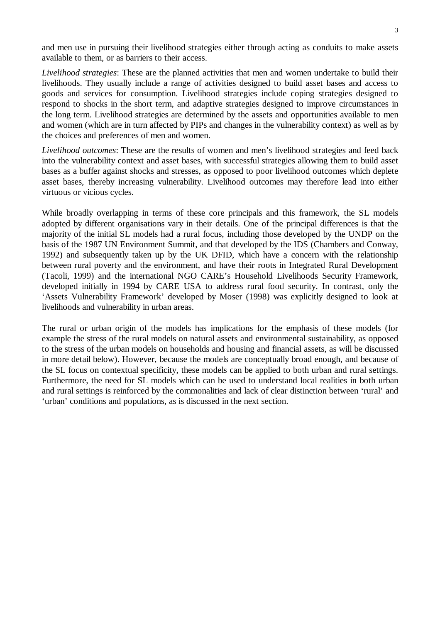and men use in pursuing their livelihood strategies either through acting as conduits to make assets available to them, or as barriers to their access.

*Livelihood strategies*: These are the planned activities that men and women undertake to build their livelihoods. They usually include a range of activities designed to build asset bases and access to goods and services for consumption. Livelihood strategies include coping strategies designed to respond to shocks in the short term, and adaptive strategies designed to improve circumstances in the long term. Livelihood strategies are determined by the assets and opportunities available to men and women (which are in turn affected by PIPs and changes in the vulnerability context) as well as by the choices and preferences of men and women.

*Livelihood outcomes*: These are the results of women and men's livelihood strategies and feed back into the vulnerability context and asset bases, with successful strategies allowing them to build asset bases as a buffer against shocks and stresses, as opposed to poor livelihood outcomes which deplete asset bases, thereby increasing vulnerability. Livelihood outcomes may therefore lead into either virtuous or vicious cycles.

While broadly overlapping in terms of these core principals and this framework, the SL models adopted by different organisations vary in their details. One of the principal differences is that the majority of the initial SL models had a rural focus, including those developed by the UNDP on the basis of the 1987 UN Environment Summit, and that developed by the IDS (Chambers and Conway, 1992) and subsequently taken up by the UK DFID, which have a concern with the relationship between rural poverty and the environment, and have their roots in Integrated Rural Development (Tacoli, 1999) and the international NGO CARE's Household Livelihoods Security Framework, developed initially in 1994 by CARE USA to address rural food security. In contrast, only the 'Assets Vulnerability Framework' developed by Moser (1998) was explicitly designed to look at livelihoods and vulnerability in urban areas.

The rural or urban origin of the models has implications for the emphasis of these models (for example the stress of the rural models on natural assets and environmental sustainability, as opposed to the stress of the urban models on households and housing and financial assets, as will be discussed in more detail below). However, because the models are conceptually broad enough, and because of the SL focus on contextual specificity, these models can be applied to both urban and rural settings. Furthermore, the need for SL models which can be used to understand local realities in both urban and rural settings is reinforced by the commonalities and lack of clear distinction between 'rural' and 'urban' conditions and populations, as is discussed in the next section.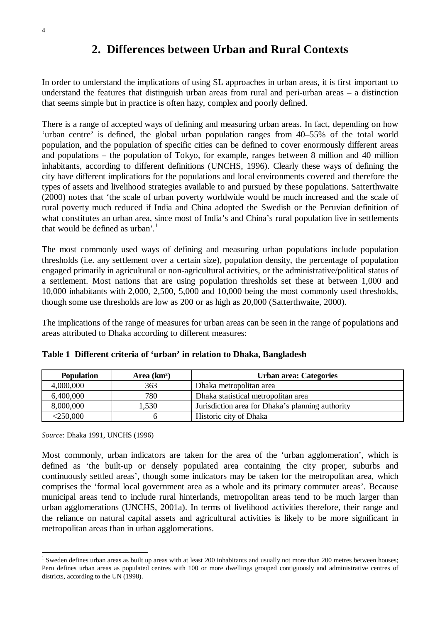# **2. Differences between Urban and Rural Contexts**

In order to understand the implications of using SL approaches in urban areas, it is first important to understand the features that distinguish urban areas from rural and peri-urban areas – a distinction that seems simple but in practice is often hazy, complex and poorly defined.

There is a range of accepted ways of defining and measuring urban areas. In fact, depending on how 'urban centre' is defined, the global urban population ranges from 40–55% of the total world population, and the population of specific cities can be defined to cover enormously different areas and populations – the population of Tokyo, for example, ranges between 8 million and 40 million inhabitants, according to different definitions (UNCHS, 1996). Clearly these ways of defining the city have different implications for the populations and local environments covered and therefore the types of assets and livelihood strategies available to and pursued by these populations. Satterthwaite (2000) notes that 'the scale of urban poverty worldwide would be much increased and the scale of rural poverty much reduced if India and China adopted the Swedish or the Peruvian definition of what constitutes an urban area, since most of India's and China's rural population live in settlements that would be defined as urban'*.* 1

The most commonly used ways of defining and measuring urban populations include population thresholds (i.e. any settlement over a certain size), population density, the percentage of population engaged primarily in agricultural or non-agricultural activities, or the administrative/political status of a settlement. Most nations that are using population thresholds set these at between 1,000 and 10,000 inhabitants with 2,000, 2,500, 5,000 and 10,000 being the most commonly used thresholds, though some use thresholds are low as 200 or as high as 20,000 (Satterthwaite, 2000).

The implications of the range of measures for urban areas can be seen in the range of populations and areas attributed to Dhaka according to different measures:

| <b>Population</b> | Area $(km2)$ | <b>Urban area: Categories</b>                    |
|-------------------|--------------|--------------------------------------------------|
| 4,000,000         | 363          | Dhaka metropolitan area                          |
| 6,400,000         | 780          | Dhaka statistical metropolitan area              |
| 8,000,000         | .530         | Jurisdiction area for Dhaka's planning authority |
| $<$ 250,000 $\,$  |              | Historic city of Dhaka                           |

|  | Table 1 Different criteria of 'urban' in relation to Dhaka, Bangladesh |  |  |  |  |
|--|------------------------------------------------------------------------|--|--|--|--|
|--|------------------------------------------------------------------------|--|--|--|--|

*Source*: Dhaka 1991, UNCHS (1996)

Most commonly, urban indicators are taken for the area of the 'urban agglomeration', which is defined as 'the built-up or densely populated area containing the city proper, suburbs and continuously settled areas', though some indicators may be taken for the metropolitan area, which comprises the 'formal local government area as a whole and its primary commuter areas'. Because municipal areas tend to include rural hinterlands, metropolitan areas tend to be much larger than urban agglomerations (UNCHS, 2001a). In terms of livelihood activities therefore, their range and the reliance on natural capital assets and agricultural activities is likely to be more significant in metropolitan areas than in urban agglomerations.

 $1$  Sweden defines urban areas as built up areas with at least 200 inhabitants and usually not more than 200 metres between houses; Peru defines urban areas as populated centres with 100 or more dwellings grouped contiguously and administrative centres of districts, according to the UN (1998).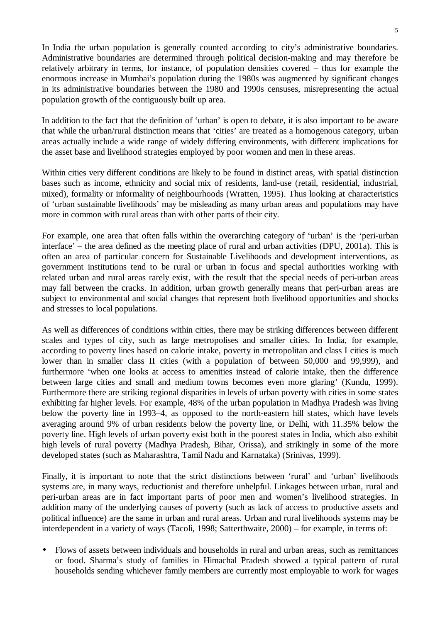In India the urban population is generally counted according to city's administrative boundaries. Administrative boundaries are determined through political decision-making and may therefore be relatively arbitrary in terms, for instance, of population densities covered – thus for example the enormous increase in Mumbai's population during the 1980s was augmented by significant changes in its administrative boundaries between the 1980 and 1990s censuses, misrepresenting the actual population growth of the contiguously built up area.

In addition to the fact that the definition of 'urban' is open to debate, it is also important to be aware that while the urban/rural distinction means that 'cities' are treated as a homogenous category, urban areas actually include a wide range of widely differing environments, with different implications for the asset base and livelihood strategies employed by poor women and men in these areas.

Within cities very different conditions are likely to be found in distinct areas, with spatial distinction bases such as income, ethnicity and social mix of residents, land-use (retail, residential, industrial, mixed), formality or informality of neighbourhoods (Wratten, 1995). Thus looking at characteristics of 'urban sustainable livelihoods' may be misleading as many urban areas and populations may have more in common with rural areas than with other parts of their city.

For example, one area that often falls within the overarching category of 'urban' is the 'peri-urban interface' – the area defined as the meeting place of rural and urban activities (DPU, 2001a). This is often an area of particular concern for Sustainable Livelihoods and development interventions, as government institutions tend to be rural or urban in focus and special authorities working with related urban and rural areas rarely exist, with the result that the special needs of peri-urban areas may fall between the cracks. In addition, urban growth generally means that peri-urban areas are subject to environmental and social changes that represent both livelihood opportunities and shocks and stresses to local populations.

As well as differences of conditions within cities, there may be striking differences between different scales and types of city, such as large metropolises and smaller cities. In India, for example, according to poverty lines based on calorie intake, poverty in metropolitan and class I cities is much lower than in smaller class II cities (with a population of between 50,000 and 99,999), and furthermore 'when one looks at access to amenities instead of calorie intake, then the difference between large cities and small and medium towns becomes even more glaring' (Kundu, 1999). Furthermore there are striking regional disparities in levels of urban poverty with cities in some states exhibiting far higher levels. For example, 48% of the urban population in Madhya Pradesh was living below the poverty line in 1993–4, as opposed to the north-eastern hill states, which have levels averaging around 9% of urban residents below the poverty line, or Delhi, with 11.35% below the poverty line. High levels of urban poverty exist both in the poorest states in India, which also exhibit high levels of rural poverty (Madhya Pradesh, Bihar, Orissa), and strikingly in some of the more developed states (such as Maharashtra, Tamil Nadu and Karnataka) (Srinivas, 1999).

Finally, it is important to note that the strict distinctions between 'rural' and 'urban' livelihoods systems are, in many ways, reductionist and therefore unhelpful. Linkages between urban, rural and peri-urban areas are in fact important parts of poor men and women's livelihood strategies. In addition many of the underlying causes of poverty (such as lack of access to productive assets and political influence) are the same in urban and rural areas. Urban and rural livelihoods systems may be interdependent in a variety of ways (Tacoli, 1998; Satterthwaite, 2000) – for example, in terms of:

• Flows of assets between individuals and households in rural and urban areas, such as remittances or food. Sharma's study of families in Himachal Pradesh showed a typical pattern of rural households sending whichever family members are currently most employable to work for wages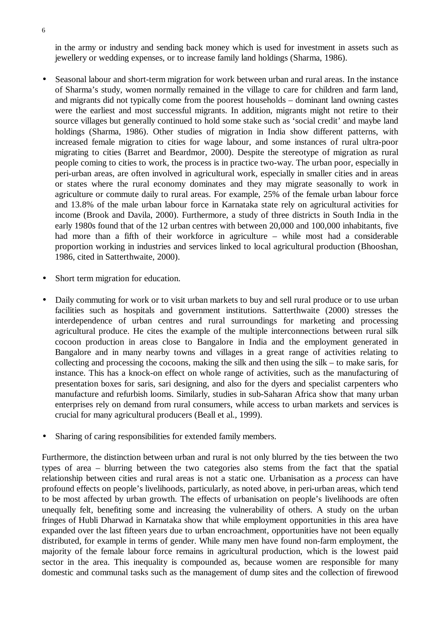in the army or industry and sending back money which is used for investment in assets such as jewellery or wedding expenses, or to increase family land holdings (Sharma, 1986).

- Seasonal labour and short-term migration for work between urban and rural areas. In the instance of Sharma's study, women normally remained in the village to care for children and farm land, and migrants did not typically come from the poorest households – dominant land owning castes were the earliest and most successful migrants. In addition, migrants might not retire to their source villages but generally continued to hold some stake such as 'social credit' and maybe land holdings (Sharma, 1986). Other studies of migration in India show different patterns, with increased female migration to cities for wage labour, and some instances of rural ultra-poor migrating to cities (Barret and Beardmor, 2000). Despite the stereotype of migration as rural people coming to cities to work, the process is in practice two-way. The urban poor, especially in peri-urban areas, are often involved in agricultural work, especially in smaller cities and in areas or states where the rural economy dominates and they may migrate seasonally to work in agriculture or commute daily to rural areas. For example, 25% of the female urban labour force and 13.8% of the male urban labour force in Karnataka state rely on agricultural activities for income (Brook and Davila, 2000). Furthermore, a study of three districts in South India in the early 1980s found that of the 12 urban centres with between 20,000 and 100,000 inhabitants, five had more than a fifth of their workforce in agriculture – while most had a considerable proportion working in industries and services linked to local agricultural production (Bhooshan, 1986, cited in Satterthwaite, 2000).
- Short term migration for education.
- Daily commuting for work or to visit urban markets to buy and sell rural produce or to use urban facilities such as hospitals and government institutions. Satterthwaite (2000) stresses the interdependence of urban centres and rural surroundings for marketing and processing agricultural produce. He cites the example of the multiple interconnections between rural silk cocoon production in areas close to Bangalore in India and the employment generated in Bangalore and in many nearby towns and villages in a great range of activities relating to collecting and processing the cocoons, making the silk and then using the silk – to make saris, for instance. This has a knock-on effect on whole range of activities, such as the manufacturing of presentation boxes for saris, sari designing, and also for the dyers and specialist carpenters who manufacture and refurbish looms. Similarly, studies in sub-Saharan Africa show that many urban enterprises rely on demand from rural consumers, while access to urban markets and services is crucial for many agricultural producers (Beall et al., 1999).
- Sharing of caring responsibilities for extended family members.

Furthermore, the distinction between urban and rural is not only blurred by the ties between the two types of area – blurring between the two categories also stems from the fact that the spatial relationship between cities and rural areas is not a static one. Urbanisation as a *process* can have profound effects on people's livelihoods, particularly, as noted above, in peri-urban areas, which tend to be most affected by urban growth. The effects of urbanisation on people's livelihoods are often unequally felt, benefiting some and increasing the vulnerability of others. A study on the urban fringes of Hubli Dharwad in Karnataka show that while employment opportunities in this area have expanded over the last fifteen years due to urban encroachment, opportunities have not been equally distributed, for example in terms of gender. While many men have found non-farm employment, the majority of the female labour force remains in agricultural production, which is the lowest paid sector in the area. This inequality is compounded as, because women are responsible for many domestic and communal tasks such as the management of dump sites and the collection of firewood

6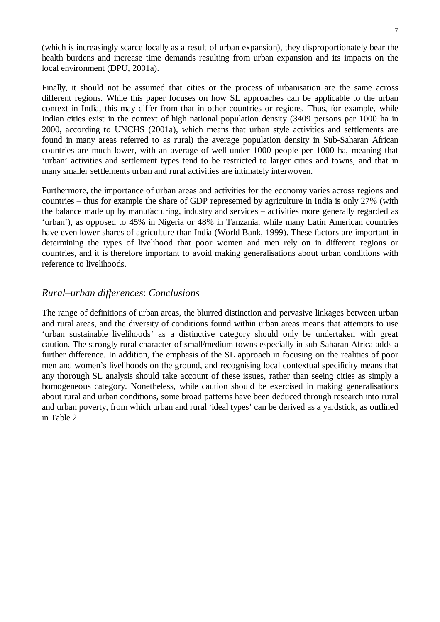(which is increasingly scarce locally as a result of urban expansion), they disproportionately bear the health burdens and increase time demands resulting from urban expansion and its impacts on the local environment (DPU, 2001a).

Finally, it should not be assumed that cities or the process of urbanisation are the same across different regions. While this paper focuses on how SL approaches can be applicable to the urban context in India, this may differ from that in other countries or regions. Thus, for example, while Indian cities exist in the context of high national population density (3409 persons per 1000 ha in 2000, according to UNCHS (2001a), which means that urban style activities and settlements are found in many areas referred to as rural) the average population density in Sub-Saharan African countries are much lower, with an average of well under 1000 people per 1000 ha, meaning that 'urban' activities and settlement types tend to be restricted to larger cities and towns, and that in many smaller settlements urban and rural activities are intimately interwoven.

Furthermore, the importance of urban areas and activities for the economy varies across regions and countries – thus for example the share of GDP represented by agriculture in India is only 27% (with the balance made up by manufacturing, industry and services – activities more generally regarded as 'urban'), as opposed to 45% in Nigeria or 48% in Tanzania, while many Latin American countries have even lower shares of agriculture than India (World Bank, 1999). These factors are important in determining the types of livelihood that poor women and men rely on in different regions or countries, and it is therefore important to avoid making generalisations about urban conditions with reference to livelihoods.

### *Rural–urban differences*: *Conclusions*

The range of definitions of urban areas, the blurred distinction and pervasive linkages between urban and rural areas, and the diversity of conditions found within urban areas means that attempts to use 'urban sustainable livelihoods' as a distinctive category should only be undertaken with great caution. The strongly rural character of small/medium towns especially in sub-Saharan Africa adds a further difference. In addition, the emphasis of the SL approach in focusing on the realities of poor men and women's livelihoods on the ground, and recognising local contextual specificity means that any thorough SL analysis should take account of these issues, rather than seeing cities as simply a homogeneous category. Nonetheless, while caution should be exercised in making generalisations about rural and urban conditions, some broad patterns have been deduced through research into rural and urban poverty, from which urban and rural 'ideal types' can be derived as a yardstick, as outlined in Table 2.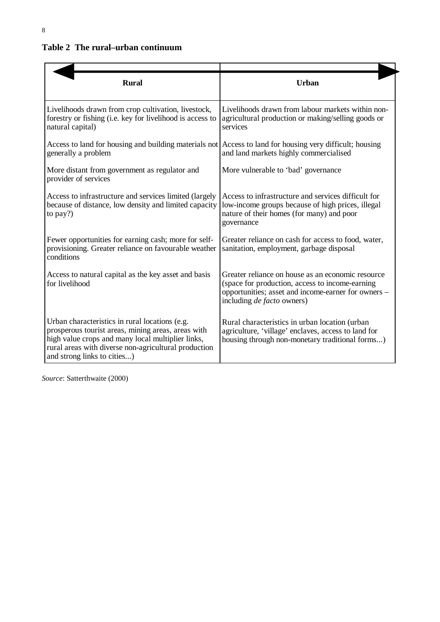| <b>Rural</b>                                                                                                                                                                                                                                     | <b>Urban</b>                                                                                                                                                                                     |
|--------------------------------------------------------------------------------------------------------------------------------------------------------------------------------------------------------------------------------------------------|--------------------------------------------------------------------------------------------------------------------------------------------------------------------------------------------------|
| Livelihoods drawn from crop cultivation, livestock,<br>forestry or fishing (i.e. key for livelihood is access to<br>natural capital)                                                                                                             | Livelihoods drawn from labour markets within non-<br>agricultural production or making/selling goods or<br>services                                                                              |
| Access to land for housing and building materials not Access to land for housing very difficult; housing<br>generally a problem                                                                                                                  | and land markets highly commercialised                                                                                                                                                           |
| More distant from government as regulator and<br>provider of services                                                                                                                                                                            | More vulnerable to 'bad' governance                                                                                                                                                              |
| Access to infrastructure and services limited (largely<br>because of distance, low density and limited capacity<br>to pay?)                                                                                                                      | Access to infrastructure and services difficult for<br>low-income groups because of high prices, illegal<br>nature of their homes (for many) and poor<br>governance                              |
| Fewer opportunities for earning cash; more for self-<br>provisioning. Greater reliance on favourable weather<br>conditions                                                                                                                       | Greater reliance on cash for access to food, water,<br>sanitation, employment, garbage disposal                                                                                                  |
| Access to natural capital as the key asset and basis<br>for livelihood                                                                                                                                                                           | Greater reliance on house as an economic resource<br>(space for production, access to income-earning<br>opportunities; asset and income-earner for owners -<br>including <i>de facto</i> owners) |
| Urban characteristics in rural locations (e.g.<br>prosperous tourist areas, mining areas, areas with<br>high value crops and many local multiplier links,<br>rural areas with diverse non-agricultural production<br>and strong links to cities) | Rural characteristics in urban location (urban<br>agriculture, 'village' enclaves, access to land for<br>housing through non-monetary traditional forms)                                         |

*Source*: Satterthwaite (2000)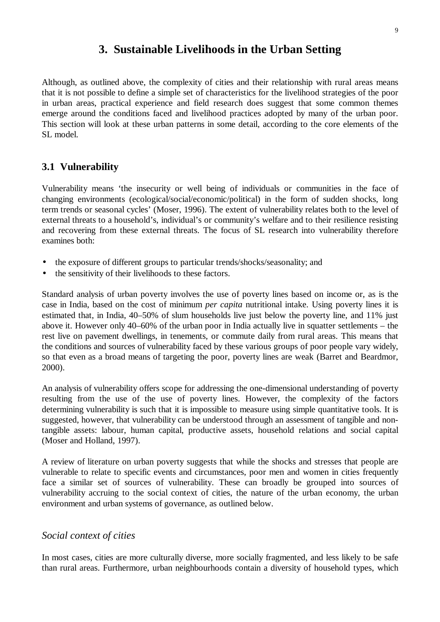# **3. Sustainable Livelihoods in the Urban Setting**

Although, as outlined above, the complexity of cities and their relationship with rural areas means that it is not possible to define a simple set of characteristics for the livelihood strategies of the poor in urban areas, practical experience and field research does suggest that some common themes emerge around the conditions faced and livelihood practices adopted by many of the urban poor. This section will look at these urban patterns in some detail, according to the core elements of the SL model.

# **3.1 Vulnerability**

Vulnerability means 'the insecurity or well being of individuals or communities in the face of changing environments (ecological/social/economic/political) in the form of sudden shocks, long term trends or seasonal cycles' (Moser, 1996). The extent of vulnerability relates both to the level of external threats to a household's, individual's or community's welfare and to their resilience resisting and recovering from these external threats. The focus of SL research into vulnerability therefore examines both:

- the exposure of different groups to particular trends/shocks/seasonality; and
- the sensitivity of their livelihoods to these factors.

Standard analysis of urban poverty involves the use of poverty lines based on income or, as is the case in India, based on the cost of minimum *per capita* nutritional intake. Using poverty lines it is estimated that, in India, 40–50% of slum households live just below the poverty line, and 11% just above it. However only 40–60% of the urban poor in India actually live in squatter settlements – the rest live on pavement dwellings, in tenements, or commute daily from rural areas. This means that the conditions and sources of vulnerability faced by these various groups of poor people vary widely, so that even as a broad means of targeting the poor, poverty lines are weak (Barret and Beardmor, 2000).

An analysis of vulnerability offers scope for addressing the one-dimensional understanding of poverty resulting from the use of the use of poverty lines. However, the complexity of the factors determining vulnerability is such that it is impossible to measure using simple quantitative tools. It is suggested, however, that vulnerability can be understood through an assessment of tangible and nontangible assets: labour, human capital, productive assets, household relations and social capital (Moser and Holland, 1997).

A review of literature on urban poverty suggests that while the shocks and stresses that people are vulnerable to relate to specific events and circumstances, poor men and women in cities frequently face a similar set of sources of vulnerability. These can broadly be grouped into sources of vulnerability accruing to the social context of cities, the nature of the urban economy, the urban environment and urban systems of governance, as outlined below.

# *Social context of cities*

In most cases, cities are more culturally diverse, more socially fragmented, and less likely to be safe than rural areas. Furthermore, urban neighbourhoods contain a diversity of household types, which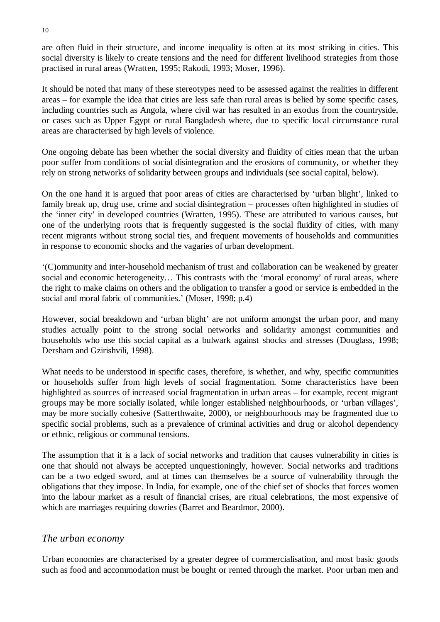are often fluid in their structure, and income inequality is often at its most striking in cities. This social diversity is likely to create tensions and the need for different livelihood strategies from those practised in rural areas (Wratten, 1995; Rakodi, 1993; Moser, 1996).

It should be noted that many of these stereotypes need to be assessed against the realities in different areas – for example the idea that cities are less safe than rural areas is belied by some specific cases, including countries such as Angola, where civil war has resulted in an exodus from the countryside, or cases such as Upper Egypt or rural Bangladesh where, due to specific local circumstance rural areas are characterised by high levels of violence.

One ongoing debate has been whether the social diversity and fluidity of cities mean that the urban poor suffer from conditions of social disintegration and the erosions of community, or whether they rely on strong networks of solidarity between groups and individuals (see social capital, below).

On the one hand it is argued that poor areas of cities are characterised by 'urban blight', linked to family break up, drug use, crime and social disintegration – processes often highlighted in studies of the 'inner city' in developed countries (Wratten, 1995). These are attributed to various causes, but one of the underlying roots that is frequently suggested is the social fluidity of cities, with many recent migrants without strong social ties, and frequent movements of households and communities in response to economic shocks and the vagaries of urban development.

'(C)ommunity and inter-household mechanism of trust and collaboration can be weakened by greater social and economic heterogeneity… This contrasts with the 'moral economy' of rural areas, where the right to make claims on others and the obligation to transfer a good or service is embedded in the social and moral fabric of communities.' (Moser, 1998; p.4)

However, social breakdown and 'urban blight' are not uniform amongst the urban poor, and many studies actually point to the strong social networks and solidarity amongst communities and households who use this social capital as a bulwark against shocks and stresses (Douglass, 1998; Dersham and Gzirishvili, 1998).

What needs to be understood in specific cases, therefore, is whether, and why, specific communities or households suffer from high levels of social fragmentation. Some characteristics have been highlighted as sources of increased social fragmentation in urban areas – for example, recent migrant groups may be more socially isolated, while longer established neighbourhoods, or 'urban villages', may be more socially cohesive (Satterthwaite, 2000), or neighbourhoods may be fragmented due to specific social problems, such as a prevalence of criminal activities and drug or alcohol dependency or ethnic, religious or communal tensions.

The assumption that it is a lack of social networks and tradition that causes vulnerability in cities is one that should not always be accepted unquestioningly, however. Social networks and traditions can be a two edged sword, and at times can themselves be a source of vulnerability through the obligations that they impose. In India, for example, one of the chief set of shocks that forces women into the labour market as a result of financial crises, are ritual celebrations, the most expensive of which are marriages requiring dowries (Barret and Beardmor, 2000).

#### *The urban economy*

Urban economies are characterised by a greater degree of commercialisation, and most basic goods such as food and accommodation must be bought or rented through the market. Poor urban men and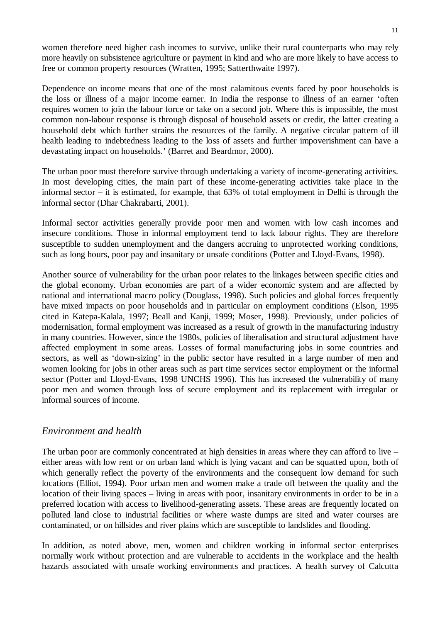women therefore need higher cash incomes to survive, unlike their rural counterparts who may rely more heavily on subsistence agriculture or payment in kind and who are more likely to have access to free or common property resources (Wratten, 1995; Satterthwaite 1997).

Dependence on income means that one of the most calamitous events faced by poor households is the loss or illness of a major income earner. In India the response to illness of an earner 'often requires women to join the labour force or take on a second job. Where this is impossible, the most common non-labour response is through disposal of household assets or credit, the latter creating a household debt which further strains the resources of the family. A negative circular pattern of ill health leading to indebtedness leading to the loss of assets and further impoverishment can have a devastating impact on households.' (Barret and Beardmor, 2000).

The urban poor must therefore survive through undertaking a variety of income-generating activities. In most developing cities, the main part of these income-generating activities take place in the informal sector – it is estimated, for example, that 63% of total employment in Delhi is through the informal sector (Dhar Chakrabarti, 2001).

Informal sector activities generally provide poor men and women with low cash incomes and insecure conditions. Those in informal employment tend to lack labour rights. They are therefore susceptible to sudden unemployment and the dangers accruing to unprotected working conditions, such as long hours, poor pay and insanitary or unsafe conditions (Potter and Lloyd-Evans, 1998).

Another source of vulnerability for the urban poor relates to the linkages between specific cities and the global economy. Urban economies are part of a wider economic system and are affected by national and international macro policy (Douglass, 1998). Such policies and global forces frequently have mixed impacts on poor households and in particular on employment conditions (Elson, 1995 cited in Katepa-Kalala, 1997; Beall and Kanji, 1999; Moser, 1998). Previously, under policies of modernisation, formal employment was increased as a result of growth in the manufacturing industry in many countries. However, since the 1980s, policies of liberalisation and structural adjustment have affected employment in some areas. Losses of formal manufacturing jobs in some countries and sectors, as well as 'down-sizing' in the public sector have resulted in a large number of men and women looking for jobs in other areas such as part time services sector employment or the informal sector (Potter and Lloyd-Evans, 1998 UNCHS 1996). This has increased the vulnerability of many poor men and women through loss of secure employment and its replacement with irregular or informal sources of income.

#### *Environment and health*

The urban poor are commonly concentrated at high densities in areas where they can afford to live – either areas with low rent or on urban land which is lying vacant and can be squatted upon, both of which generally reflect the poverty of the environments and the consequent low demand for such locations (Elliot, 1994). Poor urban men and women make a trade off between the quality and the location of their living spaces – living in areas with poor, insanitary environments in order to be in a preferred location with access to livelihood-generating assets. These areas are frequently located on polluted land close to industrial facilities or where waste dumps are sited and water courses are contaminated, or on hillsides and river plains which are susceptible to landslides and flooding.

In addition, as noted above, men, women and children working in informal sector enterprises normally work without protection and are vulnerable to accidents in the workplace and the health hazards associated with unsafe working environments and practices. A health survey of Calcutta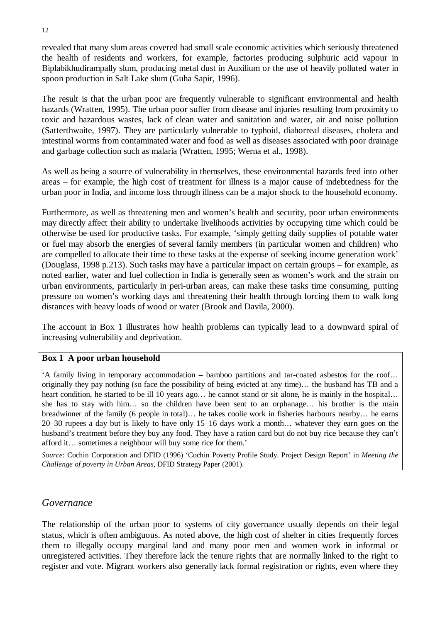revealed that many slum areas covered had small scale economic activities which seriously threatened the health of residents and workers, for example, factories producing sulphuric acid vapour in Biplabikhudirampally slum, producing metal dust in Auxilium or the use of heavily polluted water in spoon production in Salt Lake slum (Guha Sapir, 1996).

The result is that the urban poor are frequently vulnerable to significant environmental and health hazards (Wratten, 1995). The urban poor suffer from disease and injuries resulting from proximity to toxic and hazardous wastes, lack of clean water and sanitation and water, air and noise pollution (Satterthwaite, 1997). They are particularly vulnerable to typhoid, diahorreal diseases, cholera and intestinal worms from contaminated water and food as well as diseases associated with poor drainage and garbage collection such as malaria (Wratten, 1995; Werna et al., 1998).

As well as being a source of vulnerability in themselves, these environmental hazards feed into other areas – for example, the high cost of treatment for illness is a major cause of indebtedness for the urban poor in India, and income loss through illness can be a major shock to the household economy.

Furthermore, as well as threatening men and women's health and security, poor urban environments may directly affect their ability to undertake livelihoods activities by occupying time which could be otherwise be used for productive tasks. For example, 'simply getting daily supplies of potable water or fuel may absorb the energies of several family members (in particular women and children) who are compelled to allocate their time to these tasks at the expense of seeking income generation work' (Douglass, 1998 p.213). Such tasks may have a particular impact on certain groups – for example, as noted earlier, water and fuel collection in India is generally seen as women's work and the strain on urban environments, particularly in peri-urban areas, can make these tasks time consuming, putting pressure on women's working days and threatening their health through forcing them to walk long distances with heavy loads of wood or water (Brook and Davila, 2000).

The account in Box 1 illustrates how health problems can typically lead to a downward spiral of increasing vulnerability and deprivation.

#### **Box 1 A poor urban household**

'A family living in temporary accommodation – bamboo partitions and tar-coated asbestos for the roof… originally they pay nothing (so face the possibility of being evicted at any time)… the husband has TB and a heart condition, he started to be ill 10 years ago... he cannot stand or sit alone, he is mainly in the hospital... she has to stay with him… so the children have been sent to an orphanage… his brother is the main breadwinner of the family (6 people in total)… he takes coolie work in fisheries harbours nearby… he earns 20–30 rupees a day but is likely to have only 15–16 days work a month… whatever they earn goes on the husband's treatment before they buy any food. They have a ration card but do not buy rice because they can't afford it… sometimes a neighbour will buy some rice for them.'

*Source*: Cochin Corporation and DFID (1996) 'Cochin Poverty Profile Study. Project Design Report' in *Meeting the Challenge of poverty in Urban Areas*, DFID Strategy Paper (2001).

#### *Governance*

The relationship of the urban poor to systems of city governance usually depends on their legal status, which is often ambiguous. As noted above, the high cost of shelter in cities frequently forces them to illegally occupy marginal land and many poor men and women work in informal or unregistered activities. They therefore lack the tenure rights that are normally linked to the right to register and vote. Migrant workers also generally lack formal registration or rights, even where they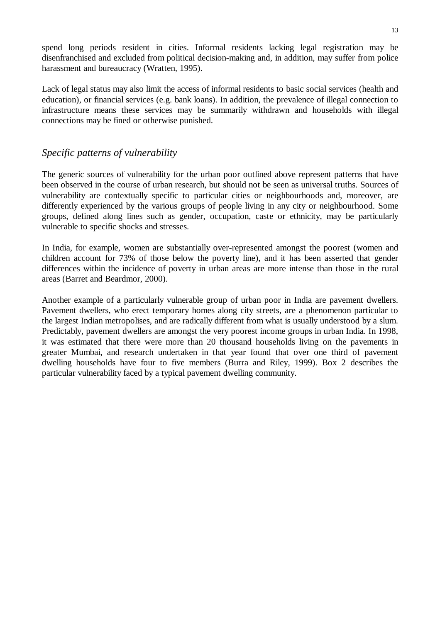spend long periods resident in cities. Informal residents lacking legal registration may be disenfranchised and excluded from political decision-making and, in addition, may suffer from police harassment and bureaucracy (Wratten, 1995).

Lack of legal status may also limit the access of informal residents to basic social services (health and education), or financial services (e.g. bank loans). In addition, the prevalence of illegal connection to infrastructure means these services may be summarily withdrawn and households with illegal connections may be fined or otherwise punished.

# *Specific patterns of vulnerability*

The generic sources of vulnerability for the urban poor outlined above represent patterns that have been observed in the course of urban research, but should not be seen as universal truths. Sources of vulnerability are contextually specific to particular cities or neighbourhoods and, moreover, are differently experienced by the various groups of people living in any city or neighbourhood. Some groups, defined along lines such as gender, occupation, caste or ethnicity, may be particularly vulnerable to specific shocks and stresses.

In India, for example, women are substantially over-represented amongst the poorest (women and children account for 73% of those below the poverty line), and it has been asserted that gender differences within the incidence of poverty in urban areas are more intense than those in the rural areas (Barret and Beardmor, 2000).

Another example of a particularly vulnerable group of urban poor in India are pavement dwellers. Pavement dwellers, who erect temporary homes along city streets, are a phenomenon particular to the largest Indian metropolises, and are radically different from what is usually understood by a slum. Predictably, pavement dwellers are amongst the very poorest income groups in urban India. In 1998, it was estimated that there were more than 20 thousand households living on the pavements in greater Mumbai, and research undertaken in that year found that over one third of pavement dwelling households have four to five members (Burra and Riley, 1999). Box 2 describes the particular vulnerability faced by a typical pavement dwelling community.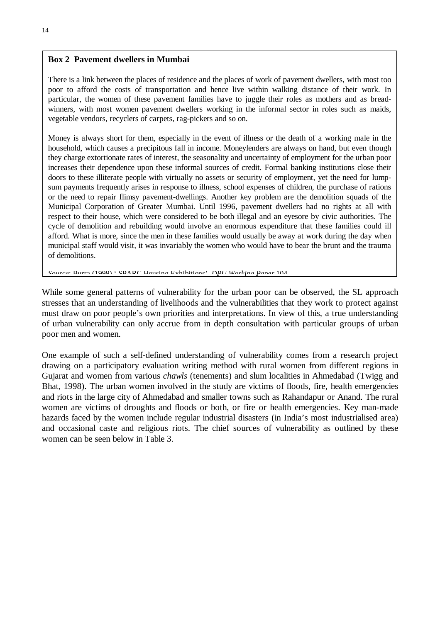#### **Box 2 Pavement dwellers in Mumbai**

There is a link between the places of residence and the places of work of pavement dwellers, with most too poor to afford the costs of transportation and hence live within walking distance of their work. In particular, the women of these pavement families have to juggle their roles as mothers and as breadwinners, with most women pavement dwellers working in the informal sector in roles such as maids, vegetable vendors, recyclers of carpets, rag-pickers and so on.

Money is always short for them, especially in the event of illness or the death of a working male in the household, which causes a precipitous fall in income. Moneylenders are always on hand, but even though they charge extortionate rates of interest, the seasonality and uncertainty of employment for the urban poor increases their dependence upon these informal sources of credit. Formal banking institutions close their doors to these illiterate people with virtually no assets or security of employment, yet the need for lumpsum payments frequently arises in response to illness, school expenses of children, the purchase of rations or the need to repair flimsy pavement-dwellings. Another key problem are the demolition squads of the Municipal Corporation of Greater Mumbai. Until 1996, pavement dwellers had no rights at all with respect to their house, which were considered to be both illegal and an eyesore by civic authorities. The cycle of demolition and rebuilding would involve an enormous expenditure that these families could ill afford. What is more, since the men in these families would usually be away at work during the day when municipal staff would visit, it was invariably the women who would have to bear the brunt and the trauma of demolitions.

*Source*: Burra (1999) ' SPARC Housing Exhibitions' *DPU Working Paper* 104

While some general patterns of vulnerability for the urban poor can be observed, the SL approach stresses that an understanding of livelihoods and the vulnerabilities that they work to protect against must draw on poor people's own priorities and interpretations. In view of this, a true understanding of urban vulnerability can only accrue from in depth consultation with particular groups of urban poor men and women.

One example of such a self-defined understanding of vulnerability comes from a research project drawing on a participatory evaluation writing method with rural women from different regions in Gujarat and women from various *chawls* (tenements) and slum localities in Ahmedabad (Twigg and Bhat, 1998). The urban women involved in the study are victims of floods, fire, health emergencies and riots in the large city of Ahmedabad and smaller towns such as Rahandapur or Anand. The rural women are victims of droughts and floods or both, or fire or health emergencies. Key man-made hazards faced by the women include regular industrial disasters (in India's most industrialised area) and occasional caste and religious riots. The chief sources of vulnerability as outlined by these women can be seen below in Table 3.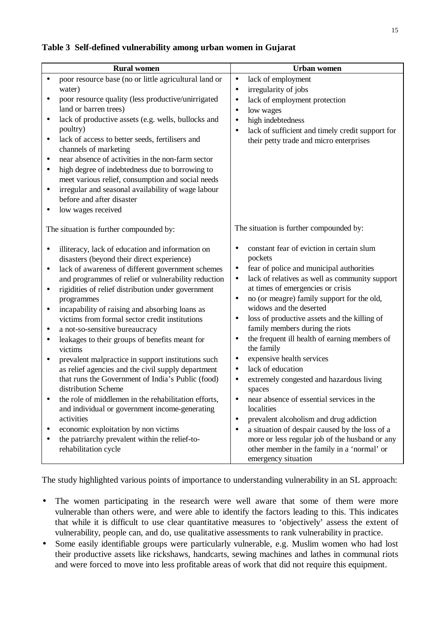#### **Rural women**  $\qquad$  Urban women • poor resource base (no or little agricultural land or water) • poor resource quality (less productive/unirrigated land or barren trees) • lack of productive assets (e.g. wells, bullocks and poultry) • lack of access to better seeds, fertilisers and channels of marketing • near absence of activities in the non-farm sector • high degree of indebtedness due to borrowing to meet various relief, consumption and social needs • irregular and seasonal availability of wage labour before and after disaster • low wages received The situation is further compounded by: • illiteracy, lack of education and information on disasters (beyond their direct experience) • lack of awareness of different government schemes and programmes of relief or vulnerability reduction • rigidities of relief distribution under government programmes • incapability of raising and absorbing loans as victims from formal sector credit institutions • a not-so-sensitive bureaucracy leakages to their groups of benefits meant for victims • prevalent malpractice in support institutions such as relief agencies and the civil supply department that runs the Government of India's Public (food) distribution Scheme • the role of middlemen in the rehabilitation efforts, and individual or government income-generating activities • economic exploitation by non victims the patriarchy prevalent within the relief-torehabilitation cycle • lack of employment • irregularity of jobs • lack of employment protection • low wages • high indebtedness lack of sufficient and timely credit support for their petty trade and micro enterprises The situation is further compounded by: • constant fear of eviction in certain slum pockets fear of police and municipal authorities • lack of relatives as well as community support at times of emergencies or crisis • no (or meagre) family support for the old, widows and the deserted • loss of productive assets and the killing of family members during the riots • the frequent ill health of earning members of the family expensive health services lack of education extremely congested and hazardous living spaces • near absence of essential services in the localities • prevalent alcoholism and drug addiction • a situation of despair caused by the loss of a more or less regular job of the husband or any other member in the family in a 'normal' or emergency situation

#### **Table 3 Self-defined vulnerability among urban women in Gujarat**

The study highlighted various points of importance to understanding vulnerability in an SL approach:

- The women participating in the research were well aware that some of them were more vulnerable than others were, and were able to identify the factors leading to this. This indicates that while it is difficult to use clear quantitative measures to 'objectively' assess the extent of vulnerability, people can, and do, use qualitative assessments to rank vulnerability in practice.
- Some easily identifiable groups were particularly vulnerable, e.g. Muslim women who had lost their productive assets like rickshaws, handcarts, sewing machines and lathes in communal riots and were forced to move into less profitable areas of work that did not require this equipment.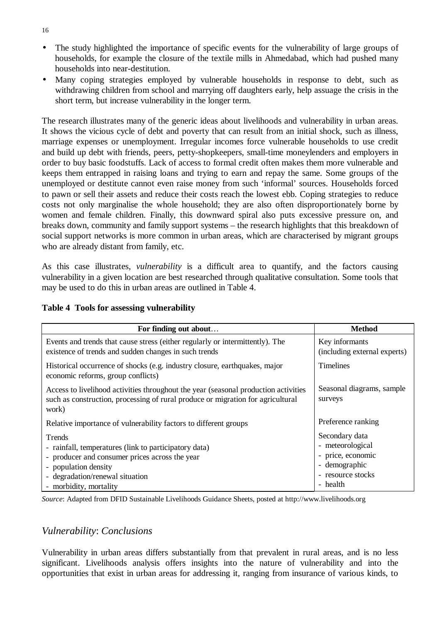- The study highlighted the importance of specific events for the vulnerability of large groups of households, for example the closure of the textile mills in Ahmedabad, which had pushed many households into near-destitution.
- Many coping strategies employed by vulnerable households in response to debt, such as withdrawing children from school and marrying off daughters early, help assuage the crisis in the short term, but increase vulnerability in the longer term.

The research illustrates many of the generic ideas about livelihoods and vulnerability in urban areas. It shows the vicious cycle of debt and poverty that can result from an initial shock, such as illness, marriage expenses or unemployment. Irregular incomes force vulnerable households to use credit and build up debt with friends, peers, petty-shopkeepers, small-time moneylenders and employers in order to buy basic foodstuffs. Lack of access to formal credit often makes them more vulnerable and keeps them entrapped in raising loans and trying to earn and repay the same. Some groups of the unemployed or destitute cannot even raise money from such 'informal' sources. Households forced to pawn or sell their assets and reduce their costs reach the lowest ebb. Coping strategies to reduce costs not only marginalise the whole household; they are also often disproportionately borne by women and female children. Finally, this downward spiral also puts excessive pressure on, and breaks down, community and family support systems – the research highlights that this breakdown of social support networks is more common in urban areas, which are characterised by migrant groups who are already distant from family, etc.

As this case illustrates, *vulnerability* is a difficult area to quantify, and the factors causing vulnerability in a given location are best researched through qualitative consultation. Some tools that may be used to do this in urban areas are outlined in Table 4.

| For finding out about                                                                                                                                                                                  | <b>Method</b>                                                                                             |
|--------------------------------------------------------------------------------------------------------------------------------------------------------------------------------------------------------|-----------------------------------------------------------------------------------------------------------|
| Events and trends that cause stress (either regularly or intermittently). The<br>existence of trends and sudden changes in such trends                                                                 | Key informants<br>(including external experts)                                                            |
| Historical occurrence of shocks (e.g. industry closure, earthquakes, major<br>economic reforms, group conflicts)                                                                                       | <b>Timelines</b>                                                                                          |
| Access to livelihood activities throughout the year (seasonal production activities<br>such as construction, processing of rural produce or migration for agricultural<br>work)                        | Seasonal diagrams, sample<br>surveys                                                                      |
| Relative importance of vulnerability factors to different groups                                                                                                                                       | Preference ranking                                                                                        |
| Trends<br>- rainfall, temperatures (link to participatory data)<br>- producer and consumer prices across the year<br>- population density<br>- degradation/renewal situation<br>- morbidity, mortality | Secondary data<br>- meteorological<br>- price, economic<br>- demographic<br>- resource stocks<br>- health |

#### **Table 4 Tools for assessing vulnerability**

*Source*: Adapted from DFID Sustainable Livelihoods Guidance Sheets, posted at http://www.livelihoods.org

#### *Vulnerability*: *Conclusions*

Vulnerability in urban areas differs substantially from that prevalent in rural areas, and is no less significant. Livelihoods analysis offers insights into the nature of vulnerability and into the opportunities that exist in urban areas for addressing it, ranging from insurance of various kinds, to

16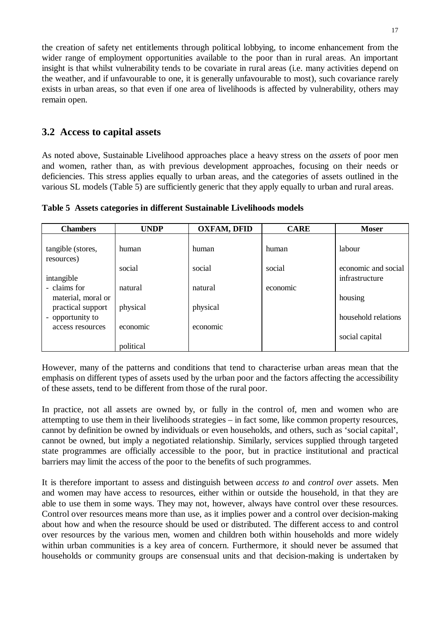the creation of safety net entitlements through political lobbying, to income enhancement from the wider range of employment opportunities available to the poor than in rural areas. An important insight is that whilst vulnerability tends to be covariate in rural areas (i.e. many activities depend on the weather, and if unfavourable to one, it is generally unfavourable to most), such covariance rarely exists in urban areas, so that even if one area of livelihoods is affected by vulnerability, others may remain open.

# **3.2 Access to capital assets**

As noted above, Sustainable Livelihood approaches place a heavy stress on the *assets* of poor men and women, rather than, as with previous development approaches, focusing on their needs or deficiencies. This stress applies equally to urban areas, and the categories of assets outlined in the various SL models (Table 5) are sufficiently generic that they apply equally to urban and rural areas.

| <b>Chambers</b>                       | <b>UNDP</b> | <b>OXFAM, DFID</b> | <b>CARE</b> | <b>Moser</b>                          |
|---------------------------------------|-------------|--------------------|-------------|---------------------------------------|
| tangible (stores,<br>resources)       | human       | human              | human       | labour                                |
| intangible                            | social      | social             | social      | economic and social<br>infrastructure |
| - claims for<br>material, moral or    | natural     | natural            | economic    | housing                               |
| practical support<br>- opportunity to | physical    | physical           |             | household relations                   |
| access resources                      | economic    | economic           |             | social capital                        |
|                                       | political   |                    |             |                                       |

**Table 5 Assets categories in different Sustainable Livelihoods models**

However, many of the patterns and conditions that tend to characterise urban areas mean that the emphasis on different types of assets used by the urban poor and the factors affecting the accessibility of these assets, tend to be different from those of the rural poor.

In practice, not all assets are owned by, or fully in the control of, men and women who are attempting to use them in their livelihoods strategies – in fact some, like common property resources, cannot by definition be owned by individuals or even households, and others, such as 'social capital', cannot be owned, but imply a negotiated relationship. Similarly, services supplied through targeted state programmes are officially accessible to the poor, but in practice institutional and practical barriers may limit the access of the poor to the benefits of such programmes.

It is therefore important to assess and distinguish between *access to* and *control over* assets. Men and women may have access to resources, either within or outside the household, in that they are able to use them in some ways. They may not, however, always have control over these resources. Control over resources means more than use, as it implies power and a control over decision-making about how and when the resource should be used or distributed. The different access to and control over resources by the various men, women and children both within households and more widely within urban communities is a key area of concern. Furthermore, it should never be assumed that households or community groups are consensual units and that decision-making is undertaken by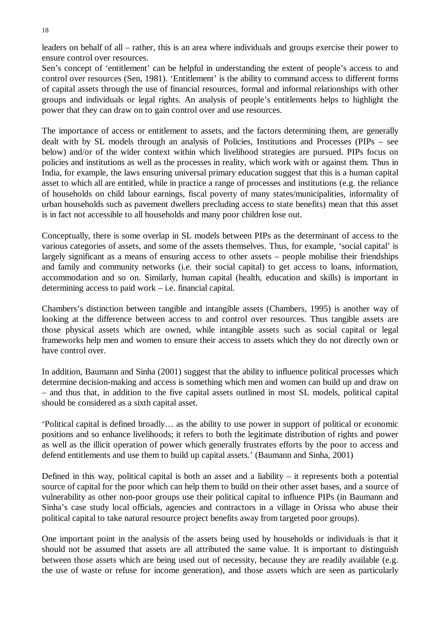leaders on behalf of all – rather, this is an area where individuals and groups exercise their power to ensure control over resources.

Sen's concept of 'entitlement' can be helpful in understanding the extent of people's access to and control over resources (Sen, 1981). 'Entitlement' is the ability to command access to different forms of capital assets through the use of financial resources, formal and informal relationships with other groups and individuals or legal rights. An analysis of people's entitlements helps to highlight the power that they can draw on to gain control over and use resources.

The importance of access or entitlement to assets, and the factors determining them, are generally dealt with by SL models through an analysis of Policies, Institutions and Processes (PIPs – see below) and/or of the wider context within which livelihood strategies are pursued. PIPs focus on policies and institutions as well as the processes in reality, which work with or against them. Thus in India, for example, the laws ensuring universal primary education suggest that this is a human capital asset to which all are entitled, while in practice a range of processes and institutions (e.g. the reliance of households on child labour earnings, fiscal poverty of many states/municipalities, informality of urban households such as pavement dwellers precluding access to state benefits) mean that this asset is in fact not accessible to all households and many poor children lose out.

Conceptually, there is some overlap in SL models between PIPs as the determinant of access to the various categories of assets, and some of the assets themselves. Thus, for example, 'social capital' is largely significant as a means of ensuring access to other assets – people mobilise their friendships and family and community networks (i.e. their social capital) to get access to loans, information, accommodation and so on. Similarly, human capital (health, education and skills) is important in determining access to paid work – i.e. financial capital.

Chambers's distinction between tangible and intangible assets (Chambers, 1995) is another way of looking at the difference between access to and control over resources. Thus tangible assets are those physical assets which are owned, while intangible assets such as social capital or legal frameworks help men and women to ensure their access to assets which they do not directly own or have control over.

In addition, Baumann and Sinha (2001) suggest that the ability to influence political processes which determine decision-making and access is something which men and women can build up and draw on – and thus that, in addition to the five capital assets outlined in most SL models, political capital should be considered as a sixth capital asset.

'Political capital is defined broadly… as the ability to use power in support of political or economic positions and so enhance livelihoods; it refers to both the legitimate distribution of rights and power as well as the illicit operation of power which generally frustrates efforts by the poor to access and defend entitlements and use them to build up capital assets.' (Baumann and Sinha, 2001)

Defined in this way, political capital is both an asset and a liability – it represents both a potential source of capital for the poor which can help them to build on their other asset bases, and a source of vulnerability as other non-poor groups use their political capital to influence PIPs (in Baumann and Sinha's case study local officials, agencies and contractors in a village in Orissa who abuse their political capital to take natural resource project benefits away from targeted poor groups).

One important point in the analysis of the assets being used by households or individuals is that it should not be assumed that assets are all attributed the same value. It is important to distinguish between those assets which are being used out of necessity, because they are readily available (e.g. the use of waste or refuse for income generation), and those assets which are seen as particularly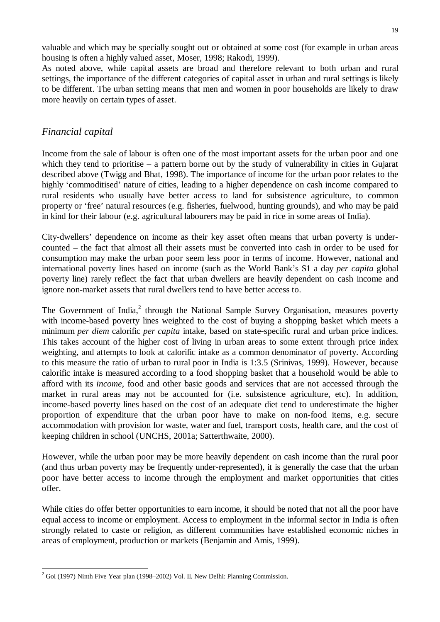valuable and which may be specially sought out or obtained at some cost (for example in urban areas housing is often a highly valued asset, Moser, 1998; Rakodi, 1999).

As noted above, while capital assets are broad and therefore relevant to both urban and rural settings, the importance of the different categories of capital asset in urban and rural settings is likely to be different. The urban setting means that men and women in poor households are likely to draw more heavily on certain types of asset.

#### *Financial capital*

Income from the sale of labour is often one of the most important assets for the urban poor and one which they tend to prioritise – a pattern borne out by the study of vulnerability in cities in Gujarat described above (Twigg and Bhat, 1998). The importance of income for the urban poor relates to the highly 'commoditised' nature of cities, leading to a higher dependence on cash income compared to rural residents who usually have better access to land for subsistence agriculture, to common property or 'free' natural resources (e.g. fisheries, fuelwood, hunting grounds), and who may be paid in kind for their labour (e.g. agricultural labourers may be paid in rice in some areas of India).

City-dwellers' dependence on income as their key asset often means that urban poverty is undercounted – the fact that almost all their assets must be converted into cash in order to be used for consumption may make the urban poor seem less poor in terms of income. However, national and international poverty lines based on income (such as the World Bank's \$1 a day *per capita* global poverty line) rarely reflect the fact that urban dwellers are heavily dependent on cash income and ignore non-market assets that rural dwellers tend to have better access to.

The Government of India,<sup>2</sup> through the National Sample Survey Organisation, measures poverty with income-based poverty lines weighted to the cost of buying a shopping basket which meets a minimum *per diem* calorific *per capita* intake, based on state-specific rural and urban price indices. This takes account of the higher cost of living in urban areas to some extent through price index weighting, and attempts to look at calorific intake as a common denominator of poverty. According to this measure the ratio of urban to rural poor in India is 1:3.5 (Srinivas, 1999). However, because calorific intake is measured according to a food shopping basket that a household would be able to afford with its *income*, food and other basic goods and services that are not accessed through the market in rural areas may not be accounted for (i.e. subsistence agriculture, etc). In addition, income-based poverty lines based on the cost of an adequate diet tend to underestimate the higher proportion of expenditure that the urban poor have to make on non-food items, e.g. secure accommodation with provision for waste, water and fuel, transport costs, health care, and the cost of keeping children in school (UNCHS, 2001a; Satterthwaite, 2000).

However, while the urban poor may be more heavily dependent on cash income than the rural poor (and thus urban poverty may be frequently under-represented), it is generally the case that the urban poor have better access to income through the employment and market opportunities that cities offer.

While cities do offer better opportunities to earn income, it should be noted that not all the poor have equal access to income or employment. Access to employment in the informal sector in India is often strongly related to caste or religion, as different communities have established economic niches in areas of employment, production or markets (Benjamin and Amis, 1999).

 $2$  GoI (1997) Ninth Five Year plan (1998–2002) Vol. II. New Delhi: Planning Commission.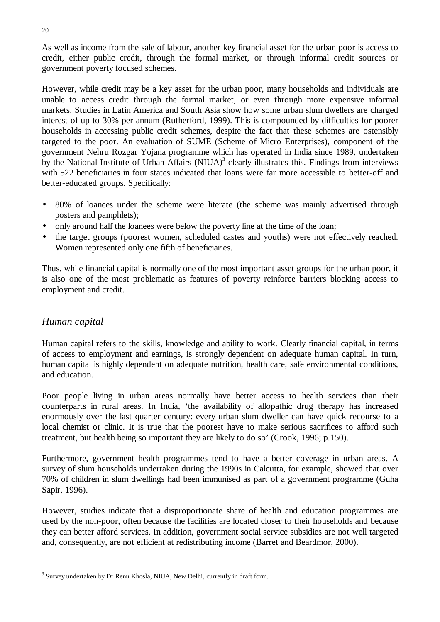As well as income from the sale of labour, another key financial asset for the urban poor is access to credit, either public credit, through the formal market, or through informal credit sources or government poverty focused schemes.

However, while credit may be a key asset for the urban poor, many households and individuals are unable to access credit through the formal market, or even through more expensive informal markets. Studies in Latin America and South Asia show how some urban slum dwellers are charged interest of up to 30% per annum (Rutherford, 1999). This is compounded by difficulties for poorer households in accessing public credit schemes, despite the fact that these schemes are ostensibly targeted to the poor. An evaluation of SUME (Scheme of Micro Enterprises), component of the government Nehru Rozgar Yojana programme which has operated in India since 1989, undertaken by the National Institute of Urban Affairs  $(NIUA)^3$  clearly illustrates this. Findings from interviews with 522 beneficiaries in four states indicated that loans were far more accessible to better-off and better-educated groups. Specifically:

- 80% of loanees under the scheme were literate (the scheme was mainly advertised through posters and pamphlets);
- only around half the loanees were below the poverty line at the time of the loan;
- the target groups (poorest women, scheduled castes and youths) were not effectively reached. Women represented only one fifth of beneficiaries.

Thus, while financial capital is normally one of the most important asset groups for the urban poor, it is also one of the most problematic as features of poverty reinforce barriers blocking access to employment and credit.

#### *Human capital*

Human capital refers to the skills, knowledge and ability to work. Clearly financial capital, in terms of access to employment and earnings, is strongly dependent on adequate human capital. In turn, human capital is highly dependent on adequate nutrition, health care, safe environmental conditions, and education.

Poor people living in urban areas normally have better access to health services than their counterparts in rural areas. In India, 'the availability of allopathic drug therapy has increased enormously over the last quarter century: every urban slum dweller can have quick recourse to a local chemist or clinic. It is true that the poorest have to make serious sacrifices to afford such treatment, but health being so important they are likely to do so' (Crook, 1996; p.150).

Furthermore, government health programmes tend to have a better coverage in urban areas. A survey of slum households undertaken during the 1990s in Calcutta, for example, showed that over 70% of children in slum dwellings had been immunised as part of a government programme (Guha Sapir, 1996).

However, studies indicate that a disproportionate share of health and education programmes are used by the non-poor, often because the facilities are located closer to their households and because they can better afford services. In addition, government social service subsidies are not well targeted and, consequently, are not efficient at redistributing income (Barret and Beardmor, 2000).

<sup>&</sup>lt;sup>3</sup> Survey undertaken by Dr Renu Khosla, NIUA, New Delhi, currently in draft form.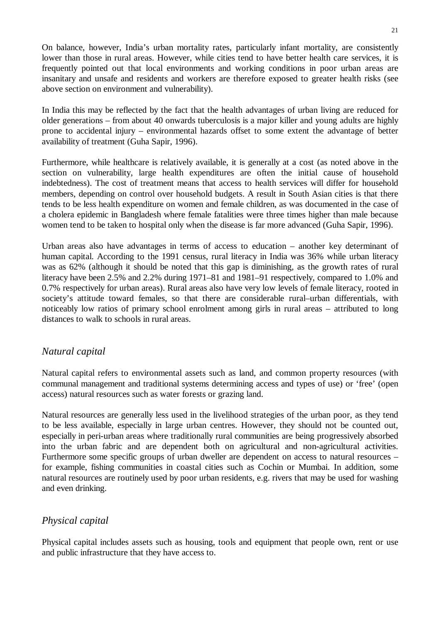On balance, however, India's urban mortality rates, particularly infant mortality, are consistently lower than those in rural areas. However, while cities tend to have better health care services, it is frequently pointed out that local environments and working conditions in poor urban areas are insanitary and unsafe and residents and workers are therefore exposed to greater health risks (see above section on environment and vulnerability).

In India this may be reflected by the fact that the health advantages of urban living are reduced for older generations – from about 40 onwards tuberculosis is a major killer and young adults are highly prone to accidental injury – environmental hazards offset to some extent the advantage of better availability of treatment (Guha Sapir, 1996).

Furthermore, while healthcare is relatively available, it is generally at a cost (as noted above in the section on vulnerability, large health expenditures are often the initial cause of household indebtedness). The cost of treatment means that access to health services will differ for household members, depending on control over household budgets. A result in South Asian cities is that there tends to be less health expenditure on women and female children, as was documented in the case of a cholera epidemic in Bangladesh where female fatalities were three times higher than male because women tend to be taken to hospital only when the disease is far more advanced (Guha Sapir, 1996).

Urban areas also have advantages in terms of access to education – another key determinant of human capital. According to the 1991 census, rural literacy in India was 36% while urban literacy was as 62% (although it should be noted that this gap is diminishing, as the growth rates of rural literacy have been 2.5% and 2.2% during 1971–81 and 1981–91 respectively, compared to 1.0% and 0.7% respectively for urban areas). Rural areas also have very low levels of female literacy, rooted in society's attitude toward females, so that there are considerable rural–urban differentials, with noticeably low ratios of primary school enrolment among girls in rural areas – attributed to long distances to walk to schools in rural areas.

# *Natural capital*

Natural capital refers to environmental assets such as land, and common property resources (with communal management and traditional systems determining access and types of use) or 'free' (open access) natural resources such as water forests or grazing land.

Natural resources are generally less used in the livelihood strategies of the urban poor, as they tend to be less available, especially in large urban centres. However, they should not be counted out, especially in peri-urban areas where traditionally rural communities are being progressively absorbed into the urban fabric and are dependent both on agricultural and non-agricultural activities. Furthermore some specific groups of urban dweller are dependent on access to natural resources – for example, fishing communities in coastal cities such as Cochin or Mumbai. In addition, some natural resources are routinely used by poor urban residents, e.g. rivers that may be used for washing and even drinking.

# *Physical capital*

Physical capital includes assets such as housing, tools and equipment that people own, rent or use and public infrastructure that they have access to.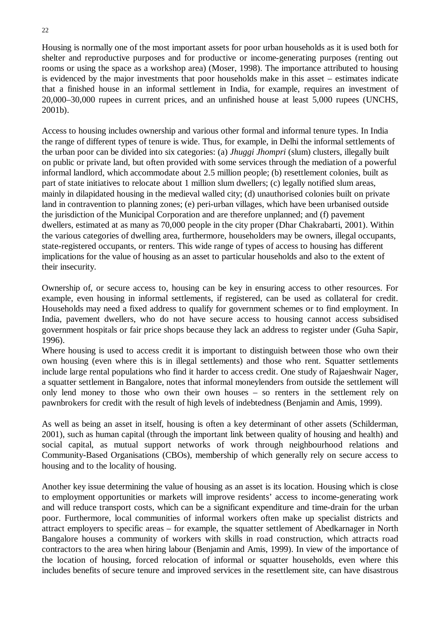Housing is normally one of the most important assets for poor urban households as it is used both for shelter and reproductive purposes and for productive or income-generating purposes (renting out rooms or using the space as a workshop area) (Moser, 1998). The importance attributed to housing is evidenced by the major investments that poor households make in this asset – estimates indicate that a finished house in an informal settlement in India, for example, requires an investment of 20,000–30,000 rupees in current prices, and an unfinished house at least 5,000 rupees (UNCHS, 2001b).

Access to housing includes ownership and various other formal and informal tenure types. In India the range of different types of tenure is wide. Thus, for example, in Delhi the informal settlements of the urban poor can be divided into six categories: (a) *Jhuggi Jhompri* (slum) clusters, illegally built on public or private land, but often provided with some services through the mediation of a powerful informal landlord, which accommodate about 2.5 million people; (b) resettlement colonies, built as part of state initiatives to relocate about 1 million slum dwellers; (c) legally notified slum areas, mainly in dilapidated housing in the medieval walled city; (d) unauthorised colonies built on private land in contravention to planning zones; (e) peri-urban villages, which have been urbanised outside the jurisdiction of the Municipal Corporation and are therefore unplanned; and (f) pavement dwellers, estimated at as many as 70,000 people in the city proper (Dhar Chakrabarti, 2001). Within the various categories of dwelling area, furthermore, householders may be owners, illegal occupants, state-registered occupants, or renters. This wide range of types of access to housing has different implications for the value of housing as an asset to particular households and also to the extent of their insecurity.

Ownership of, or secure access to, housing can be key in ensuring access to other resources. For example, even housing in informal settlements, if registered, can be used as collateral for credit. Households may need a fixed address to qualify for government schemes or to find employment. In India, pavement dwellers, who do not have secure access to housing cannot access subsidised government hospitals or fair price shops because they lack an address to register under (Guha Sapir, 1996).

Where housing is used to access credit it is important to distinguish between those who own their own housing (even where this is in illegal settlements) and those who rent. Squatter settlements include large rental populations who find it harder to access credit. One study of Rajaeshwair Nager, a squatter settlement in Bangalore, notes that informal moneylenders from outside the settlement will only lend money to those who own their own houses – so renters in the settlement rely on pawnbrokers for credit with the result of high levels of indebtedness (Benjamin and Amis, 1999).

As well as being an asset in itself, housing is often a key determinant of other assets (Schilderman, 2001), such as human capital (through the important link between quality of housing and health) and social capital, as mutual support networks of work through neighbourhood relations and Community-Based Organisations (CBOs), membership of which generally rely on secure access to housing and to the locality of housing.

Another key issue determining the value of housing as an asset is its location. Housing which is close to employment opportunities or markets will improve residents' access to income-generating work and will reduce transport costs, which can be a significant expenditure and time-drain for the urban poor. Furthermore, local communities of informal workers often make up specialist districts and attract employers to specific areas – for example, the squatter settlement of Abedkarnager in North Bangalore houses a community of workers with skills in road construction, which attracts road contractors to the area when hiring labour (Benjamin and Amis, 1999). In view of the importance of the location of housing, forced relocation of informal or squatter households, even where this includes benefits of secure tenure and improved services in the resettlement site, can have disastrous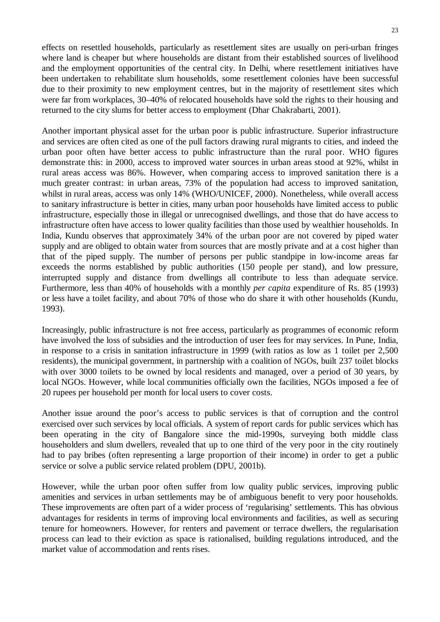effects on resettled households, particularly as resettlement sites are usually on peri-urban fringes where land is cheaper but where households are distant from their established sources of livelihood and the employment opportunities of the central city. In Delhi, where resettlement initiatives have been undertaken to rehabilitate slum households, some resettlement colonies have been successful due to their proximity to new employment centres, but in the majority of resettlement sites which were far from workplaces, 30–40% of relocated households have sold the rights to their housing and returned to the city slums for better access to employment (Dhar Chakrabarti, 2001).

Another important physical asset for the urban poor is public infrastructure. Superior infrastructure and services are often cited as one of the pull factors drawing rural migrants to cities, and indeed the urban poor often have better access to public infrastructure than the rural poor. WHO figures demonstrate this: in 2000, access to improved water sources in urban areas stood at 92%, whilst in rural areas access was 86%. However, when comparing access to improved sanitation there is a much greater contrast: in urban areas, 73% of the population had access to improved sanitation, whilst in rural areas, access was only 14% (WHO/UNICEF, 2000). Nonetheless, while overall access to sanitary infrastructure is better in cities, many urban poor households have limited access to public infrastructure, especially those in illegal or unrecognised dwellings, and those that do have access to infrastructure often have access to lower quality facilities than those used by wealthier households. In India, Kundu observes that approximately 34% of the urban poor are not covered by piped water supply and are obliged to obtain water from sources that are mostly private and at a cost higher than that of the piped supply. The number of persons per public standpipe in low-income areas far exceeds the norms established by public authorities (150 people per stand), and low pressure, interrupted supply and distance from dwellings all contribute to less than adequate service. Furthermore, less than 40% of households with a monthly *per capita* expenditure of Rs. 85 (1993) or less have a toilet facility, and about 70% of those who do share it with other households (Kundu, 1993).

Increasingly, public infrastructure is not free access, particularly as programmes of economic reform have involved the loss of subsidies and the introduction of user fees for may services. In Pune, India, in response to a crisis in sanitation infrastructure in 1999 (with ratios as low as 1 toilet per 2,500 residents), the municipal government, in partnership with a coalition of NGOs, built 237 toilet blocks with over 3000 toilets to be owned by local residents and managed, over a period of 30 years, by local NGOs. However, while local communities officially own the facilities, NGOs imposed a fee of 20 rupees per household per month for local users to cover costs.

Another issue around the poor's access to public services is that of corruption and the control exercised over such services by local officials. A system of report cards for public services which has been operating in the city of Bangalore since the mid-1990s, surveying both middle class householders and slum dwellers, revealed that up to one third of the very poor in the city routinely had to pay bribes (often representing a large proportion of their income) in order to get a public service or solve a public service related problem (DPU, 2001b).

However, while the urban poor often suffer from low quality public services, improving public amenities and services in urban settlements may be of ambiguous benefit to very poor households. These improvements are often part of a wider process of 'regularising' settlements. This has obvious advantages for residents in terms of improving local environments and facilities, as well as securing tenure for homeowners. However, for renters and pavement or terrace dwellers, the regularisation process can lead to their eviction as space is rationalised, building regulations introduced, and the market value of accommodation and rents rises.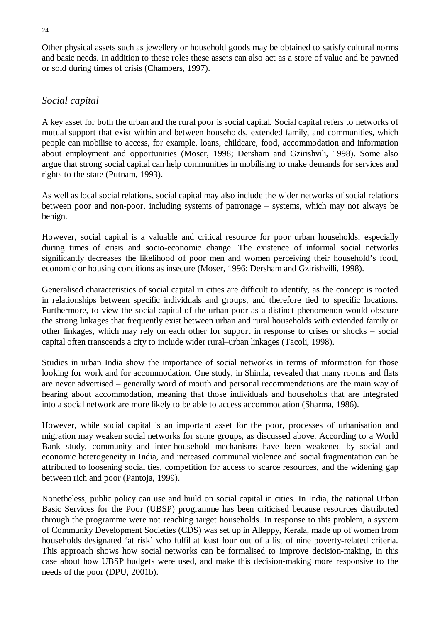Other physical assets such as jewellery or household goods may be obtained to satisfy cultural norms and basic needs. In addition to these roles these assets can also act as a store of value and be pawned or sold during times of crisis (Chambers, 1997).

### *Social capital*

A key asset for both the urban and the rural poor is social capital*.* Social capital refers to networks of mutual support that exist within and between households, extended family, and communities, which people can mobilise to access, for example, loans, childcare, food, accommodation and information about employment and opportunities (Moser, 1998; Dersham and Gzirishvili, 1998). Some also argue that strong social capital can help communities in mobilising to make demands for services and rights to the state (Putnam, 1993).

As well as local social relations, social capital may also include the wider networks of social relations between poor and non-poor, including systems of patronage – systems, which may not always be benign.

However, social capital is a valuable and critical resource for poor urban households, especially during times of crisis and socio-economic change. The existence of informal social networks significantly decreases the likelihood of poor men and women perceiving their household's food, economic or housing conditions as insecure (Moser, 1996; Dersham and Gzirishvilli, 1998).

Generalised characteristics of social capital in cities are difficult to identify, as the concept is rooted in relationships between specific individuals and groups, and therefore tied to specific locations. Furthermore, to view the social capital of the urban poor as a distinct phenomenon would obscure the strong linkages that frequently exist between urban and rural households with extended family or other linkages, which may rely on each other for support in response to crises or shocks – social capital often transcends a city to include wider rural–urban linkages (Tacoli, 1998).

Studies in urban India show the importance of social networks in terms of information for those looking for work and for accommodation. One study, in Shimla, revealed that many rooms and flats are never advertised – generally word of mouth and personal recommendations are the main way of hearing about accommodation, meaning that those individuals and households that are integrated into a social network are more likely to be able to access accommodation (Sharma, 1986).

However, while social capital is an important asset for the poor, processes of urbanisation and migration may weaken social networks for some groups, as discussed above. According to a World Bank study, community and inter-household mechanisms have been weakened by social and economic heterogeneity in India, and increased communal violence and social fragmentation can be attributed to loosening social ties, competition for access to scarce resources, and the widening gap between rich and poor (Pantoja, 1999).

Nonetheless, public policy can use and build on social capital in cities. In India, the national Urban Basic Services for the Poor (UBSP) programme has been criticised because resources distributed through the programme were not reaching target households. In response to this problem, a system of Community Development Societies (CDS) was set up in Alleppy, Kerala, made up of women from households designated 'at risk' who fulfil at least four out of a list of nine poverty-related criteria. This approach shows how social networks can be formalised to improve decision-making, in this case about how UBSP budgets were used, and make this decision-making more responsive to the needs of the poor (DPU, 2001b).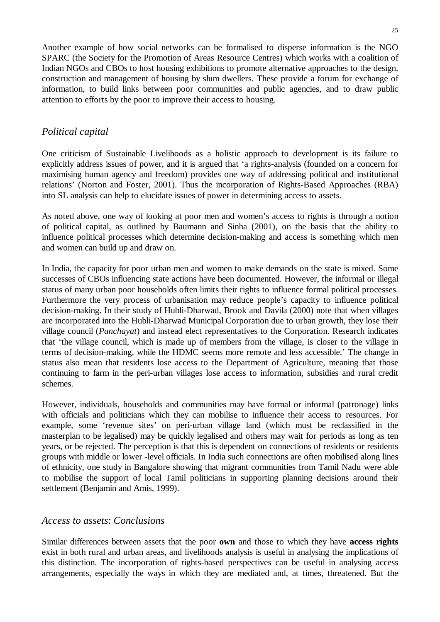Another example of how social networks can be formalised to disperse information is the NGO SPARC (the Society for the Promotion of Areas Resource Centres) which works with a coalition of Indian NGOs and CBOs to host housing exhibitions to promote alternative approaches to the design, construction and management of housing by slum dwellers. These provide a forum for exchange of information, to build links between poor communities and public agencies, and to draw public attention to efforts by the poor to improve their access to housing.

### *Political capital*

One criticism of Sustainable Livelihoods as a holistic approach to development is its failure to explicitly address issues of power, and it is argued that 'a rights-analysis (founded on a concern for maximising human agency and freedom) provides one way of addressing political and institutional relations' (Norton and Foster, 2001). Thus the incorporation of Rights-Based Approaches (RBA) into SL analysis can help to elucidate issues of power in determining access to assets.

As noted above, one way of looking at poor men and women's access to rights is through a notion of political capital, as outlined by Baumann and Sinha (2001), on the basis that the ability to influence political processes which determine decision-making and access is something which men and women can build up and draw on.

In India, the capacity for poor urban men and women to make demands on the state is mixed. Some successes of CBOs influencing state actions have been documented. However, the informal or illegal status of many urban poor households often limits their rights to influence formal political processes. Furthermore the very process of urbanisation may reduce people's capacity to influence political decision-making. In their study of Hubli-Dharwad, Brook and Davila (2000) note that when villages are incorporated into the Hubli-Dharwad Municipal Corporation due to urban growth, they lose their village council (*Panchayat*) and instead elect representatives to the Corporation. Research indicates that 'the village council, which is made up of members from the village, is closer to the village in terms of decision-making, while the HDMC seems more remote and less accessible.' The change in status also mean that residents lose access to the Department of Agriculture, meaning that those continuing to farm in the peri-urban villages lose access to information, subsidies and rural credit schemes.

However, individuals, households and communities may have formal or informal (patronage) links with officials and politicians which they can mobilise to influence their access to resources. For example, some 'revenue sites' on peri-urban village land (which must be reclassified in the masterplan to be legalised) may be quickly legalised and others may wait for periods as long as ten years, or be rejected. The perception is that this is dependent on connections of residents or residents groups with middle or lower -level officials. In India such connections are often mobilised along lines of ethnicity, one study in Bangalore showing that migrant communities from Tamil Nadu were able to mobilise the support of local Tamil politicians in supporting planning decisions around their settlement (Benjamin and Amis, 1999).

#### *Access to assets*: *Conclusions*

Similar differences between assets that the poor **own** and those to which they have **access rights** exist in both rural and urban areas, and livelihoods analysis is useful in analysing the implications of this distinction. The incorporation of rights-based perspectives can be useful in analysing access arrangements, especially the ways in which they are mediated and, at times, threatened. But the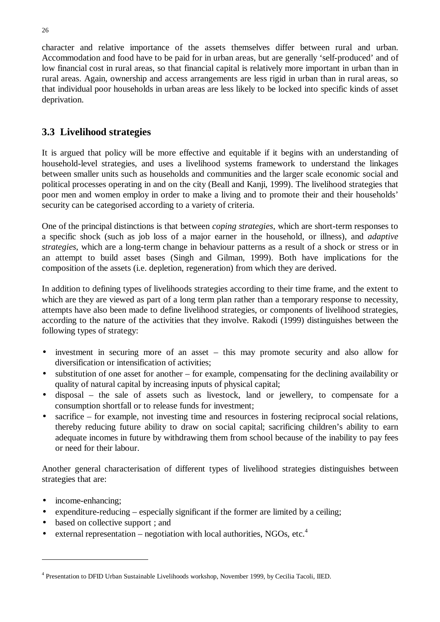character and relative importance of the assets themselves differ between rural and urban. Accommodation and food have to be paid for in urban areas, but are generally 'self-produced' and of low financial cost in rural areas, so that financial capital is relatively more important in urban than in rural areas. Again, ownership and access arrangements are less rigid in urban than in rural areas, so that individual poor households in urban areas are less likely to be locked into specific kinds of asset deprivation.

# **3.3 Livelihood strategies**

It is argued that policy will be more effective and equitable if it begins with an understanding of household-level strategies, and uses a livelihood systems framework to understand the linkages between smaller units such as households and communities and the larger scale economic social and political processes operating in and on the city (Beall and Kanji, 1999). The livelihood strategies that poor men and women employ in order to make a living and to promote their and their households' security can be categorised according to a variety of criteria.

One of the principal distinctions is that between *coping strategies*, which are short-term responses to a specific shock (such as job loss of a major earner in the household, or illness), and *adaptive strategies*, which are a long-term change in behaviour patterns as a result of a shock or stress or in an attempt to build asset bases (Singh and Gilman, 1999). Both have implications for the composition of the assets (i.e. depletion, regeneration) from which they are derived.

In addition to defining types of livelihoods strategies according to their time frame, and the extent to which are they are viewed as part of a long term plan rather than a temporary response to necessity, attempts have also been made to define livelihood strategies, or components of livelihood strategies, according to the nature of the activities that they involve. Rakodi (1999) distinguishes between the following types of strategy:

- investment in securing more of an asset this may promote security and also allow for diversification or intensification of activities;
- substitution of one asset for another for example, compensating for the declining availability or quality of natural capital by increasing inputs of physical capital;
- disposal the sale of assets such as livestock, land or jewellery, to compensate for a consumption shortfall or to release funds for investment;
- sacrifice for example, not investing time and resources in fostering reciprocal social relations, thereby reducing future ability to draw on social capital; sacrificing children's ability to earn adequate incomes in future by withdrawing them from school because of the inability to pay fees or need for their labour.

Another general characterisation of different types of livelihood strategies distinguishes between strategies that are:

- income-enhancing;
- expenditure-reducing especially significant if the former are limited by a ceiling;
- based on collective support ; and
- external representation negotiation with local authorities, NGOs, etc.<sup>4</sup>

<sup>4</sup> Presentation to DFID Urban Sustainable Livelihoods workshop, November 1999, by Cecilia Tacoli, IIED.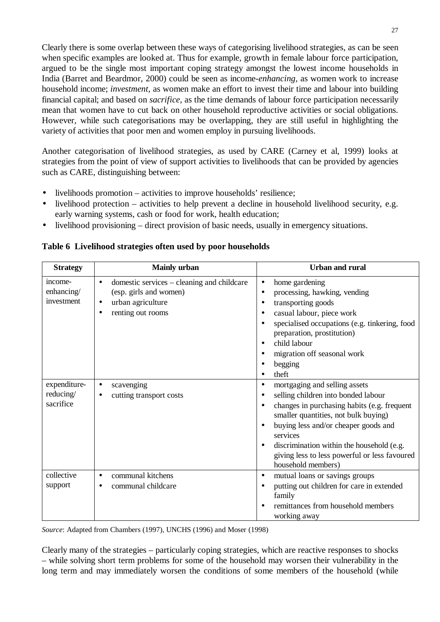Clearly there is some overlap between these ways of categorising livelihood strategies, as can be seen when specific examples are looked at. Thus for example, growth in female labour force participation, argued to be the single most important coping strategy amongst the lowest income households in India (Barret and Beardmor, 2000) could be seen as income*-enhancing,* as women work to increase household income; *investment,* as women make an effort to invest their time and labour into building financial capital; and based on *sacrifice,* as the time demands of labour force participation necessarily mean that women have to cut back on other household reproductive activities or social obligations. However, while such categorisations may be overlapping, they are still useful in highlighting the variety of activities that poor men and women employ in pursuing livelihoods.

Another categorisation of livelihood strategies, as used by CARE (Carney et al, 1999) looks at strategies from the point of view of support activities to livelihoods that can be provided by agencies such as CARE, distinguishing between:

- livelihoods promotion activities to improve households' resilience;
- livelihood protection activities to help prevent a decline in household livelihood security, e.g. early warning systems, cash or food for work, health education;
- livelihood provisioning direct provision of basic needs, usually in emergency situations.

| <b>Strategy</b>                        | <b>Mainly urban</b>                                                                                                         | <b>Urban and rural</b>                                                                                                                                                                                                                                                                                                                                                                  |
|----------------------------------------|-----------------------------------------------------------------------------------------------------------------------------|-----------------------------------------------------------------------------------------------------------------------------------------------------------------------------------------------------------------------------------------------------------------------------------------------------------------------------------------------------------------------------------------|
| income-<br>enhancing/<br>investment    | domestic services – cleaning and childcare<br>$\bullet$<br>(esp. girls and women)<br>urban agriculture<br>renting out rooms | home gardening<br>$\bullet$<br>processing, hawking, vending<br>$\bullet$<br>transporting goods<br>$\bullet$<br>casual labour, piece work<br>specialised occupations (e.g. tinkering, food<br>$\bullet$<br>preparation, prostitution)<br>child labour<br>$\bullet$<br>migration off seasonal work<br>begging<br>$\bullet$<br>theft<br>$\bullet$                                          |
| expenditure-<br>reducing/<br>sacrifice | scavenging<br>cutting transport costs                                                                                       | mortgaging and selling assets<br>$\bullet$<br>selling children into bonded labour<br>$\bullet$<br>changes in purchasing habits (e.g. frequent<br>$\bullet$<br>smaller quantities, not bulk buying)<br>buying less and/or cheaper goods and<br>services<br>discrimination within the household (e.g.<br>$\bullet$<br>giving less to less powerful or less favoured<br>household members) |
| collective<br>support                  | communal kitchens<br>communal childcare                                                                                     | mutual loans or savings groups<br>$\bullet$<br>putting out children for care in extended<br>$\bullet$<br>family<br>remittances from household members<br>working away                                                                                                                                                                                                                   |

#### **Table 6 Livelihood strategies often used by poor households**

*Source*: Adapted from Chambers (1997), UNCHS (1996) and Moser (1998)

Clearly many of the strategies – particularly coping strategies, which are reactive responses to shocks – while solving short term problems for some of the household may worsen their vulnerability in the long term and may immediately worsen the conditions of some members of the household (while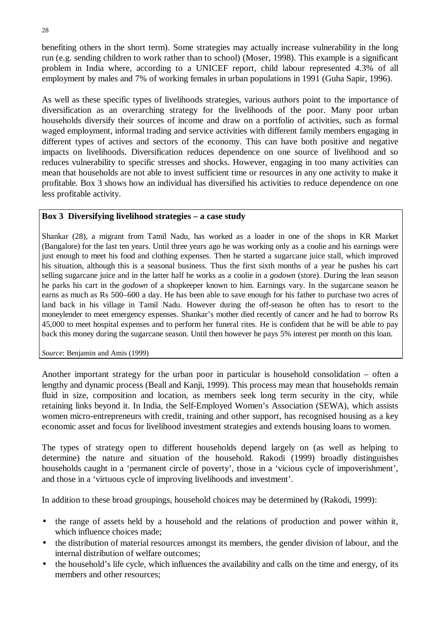benefiting others in the short term). Some strategies may actually increase vulnerability in the long run (e.g. sending children to work rather than to school) (Moser, 1998). This example is a significant problem in India where, according to a UNICEF report, child labour represented 4.3% of all employment by males and 7% of working females in urban populations in 1991 (Guha Sapir, 1996).

As well as these specific types of livelihoods strategies, various authors point to the importance of diversification as an overarching strategy for the livelihoods of the poor. Many poor urban households diversify their sources of income and draw on a portfolio of activities, such as formal waged employment, informal trading and service activities with different family members engaging in different types of actives and sectors of the economy. This can have both positive and negative impacts on livelihoods. Diversification reduces dependence on one source of livelihood and so reduces vulnerability to specific stresses and shocks. However, engaging in too many activities can mean that households are not able to invest sufficient time or resources in any one activity to make it profitable. Box 3 shows how an individual has diversified his activities to reduce dependence on one less profitable activity.

#### **Box 3 Diversifying livelihood strategies – a case study**

Shankar (28), a migrant from Tamil Nadu, has worked as a loader in one of the shops in KR Market (Bangalore) for the last ten years. Until three years ago he was working only as a coolie and his earnings were just enough to meet his food and clothing expenses. Then he started a sugarcane juice stall, which improved his situation, although this is a seasonal business. Thus the first sixth months of a year he pushes his cart selling sugarcane juice and in the latter half he works as a coolie in a *godown* (store). During the lean season he parks his cart in the *godown* of a shopkeeper known to him. Earnings vary. In the sugarcane season he earns as much as Rs 500–600 a day. He has been able to save enough for his father to purchase two acres of land back in his village in Tamil Nadu. However during the off-season he often has to resort to the moneylender to meet emergency expenses. Shankar's mother died recently of cancer and he had to borrow Rs 45,000 to meet hospital expenses and to perform her funeral rites. He is confident that he will be able to pay back this money during the sugarcane season. Until then however he pays 5% interest per month on this loan.

*Source*: Benjamin and Amis (1999)

Another important strategy for the urban poor in particular is household consolidation – often a lengthy and dynamic process (Beall and Kanji, 1999). This process may mean that households remain fluid in size, composition and location, as members seek long term security in the city, while retaining links beyond it. In India, the Self-Employed Women's Association (SEWA), which assists women micro-entrepreneurs with credit, training and other support, has recognised housing as a key economic asset and focus for livelihood investment strategies and extends housing loans to women.

The types of strategy open to different households depend largely on (as well as helping to determine) the nature and situation of the household. Rakodi (1999) broadly distinguishes households caught in a 'permanent circle of poverty', those in a 'vicious cycle of impoverishment', and those in a 'virtuous cycle of improving livelihoods and investment'.

In addition to these broad groupings, household choices may be determined by (Rakodi, 1999):

- the range of assets held by a household and the relations of production and power within it, which influence choices made;
- the distribution of material resources amongst its members, the gender division of labour, and the internal distribution of welfare outcomes;
- the household's life cycle, which influences the availability and calls on the time and energy, of its members and other resources;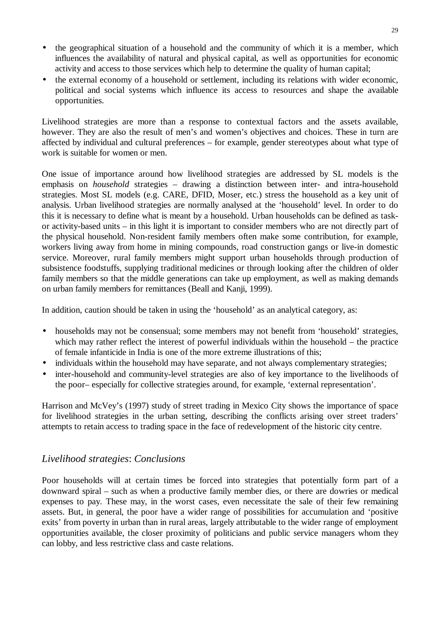- the geographical situation of a household and the community of which it is a member, which influences the availability of natural and physical capital, as well as opportunities for economic activity and access to those services which help to determine the quality of human capital;
- the external economy of a household or settlement, including its relations with wider economic, political and social systems which influence its access to resources and shape the available opportunities.

Livelihood strategies are more than a response to contextual factors and the assets available, however. They are also the result of men's and women's objectives and choices. These in turn are affected by individual and cultural preferences – for example, gender stereotypes about what type of work is suitable for women or men.

One issue of importance around how livelihood strategies are addressed by SL models is the emphasis on *household* strategies – drawing a distinction between inter- and intra-household strategies. Most SL models (e.g. CARE, DFID, Moser, etc.) stress the household as a key unit of analysis. Urban livelihood strategies are normally analysed at the 'household' level. In order to do this it is necessary to define what is meant by a household. Urban households can be defined as taskor activity-based units – in this light it is important to consider members who are not directly part of the physical household. Non-resident family members often make some contribution, for example, workers living away from home in mining compounds, road construction gangs or live-in domestic service. Moreover, rural family members might support urban households through production of subsistence foodstuffs, supplying traditional medicines or through looking after the children of older family members so that the middle generations can take up employment, as well as making demands on urban family members for remittances (Beall and Kanji, 1999).

In addition, caution should be taken in using the 'household' as an analytical category, as:

- households may not be consensual; some members may not benefit from 'household' strategies, which may rather reflect the interest of powerful individuals within the household – the practice of female infanticide in India is one of the more extreme illustrations of this;
- individuals within the household may have separate, and not always complementary strategies;
- inter-household and community-level strategies are also of key importance to the livelihoods of the poor– especially for collective strategies around, for example, 'external representation'.

Harrison and McVey's (1997) study of street trading in Mexico City shows the importance of space for livelihood strategies in the urban setting, describing the conflicts arising over street traders' attempts to retain access to trading space in the face of redevelopment of the historic city centre.

# *Livelihood strategies*: *Conclusions*

Poor households will at certain times be forced into strategies that potentially form part of a downward spiral – such as when a productive family member dies, or there are dowries or medical expenses to pay. These may, in the worst cases, even necessitate the sale of their few remaining assets. But, in general, the poor have a wider range of possibilities for accumulation and 'positive exits' from poverty in urban than in rural areas, largely attributable to the wider range of employment opportunities available, the closer proximity of politicians and public service managers whom they can lobby, and less restrictive class and caste relations.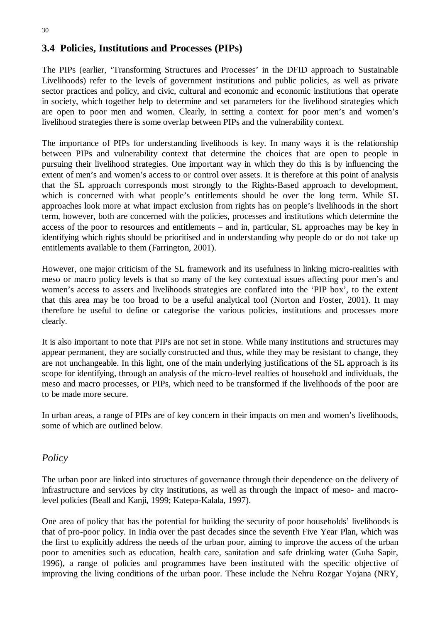# **3.4 Policies, Institutions and Processes (PIPs)**

The PIPs (earlier, 'Transforming Structures and Processes' in the DFID approach to Sustainable Livelihoods) refer to the levels of government institutions and public policies, as well as private sector practices and policy, and civic, cultural and economic and economic institutions that operate in society, which together help to determine and set parameters for the livelihood strategies which are open to poor men and women. Clearly, in setting a context for poor men's and women's livelihood strategies there is some overlap between PIPs and the vulnerability context.

The importance of PIPs for understanding livelihoods is key. In many ways it is the relationship between PIPs and vulnerability context that determine the choices that are open to people in pursuing their livelihood strategies. One important way in which they do this is by influencing the extent of men's and women's access to or control over assets. It is therefore at this point of analysis that the SL approach corresponds most strongly to the Rights-Based approach to development, which is concerned with what people's entitlements should be over the long term. While SL approaches look more at what impact exclusion from rights has on people's livelihoods in the short term, however, both are concerned with the policies, processes and institutions which determine the access of the poor to resources and entitlements – and in, particular, SL approaches may be key in identifying which rights should be prioritised and in understanding why people do or do not take up entitlements available to them (Farrington, 2001).

However, one major criticism of the SL framework and its usefulness in linking micro-realities with meso or macro policy levels is that so many of the key contextual issues affecting poor men's and women's access to assets and livelihoods strategies are conflated into the 'PIP box', to the extent that this area may be too broad to be a useful analytical tool (Norton and Foster, 2001). It may therefore be useful to define or categorise the various policies, institutions and processes more clearly.

It is also important to note that PIPs are not set in stone. While many institutions and structures may appear permanent, they are socially constructed and thus, while they may be resistant to change, they are not unchangeable. In this light, one of the main underlying justifications of the SL approach is its scope for identifying, through an analysis of the micro-level realties of household and individuals, the meso and macro processes, or PIPs, which need to be transformed if the livelihoods of the poor are to be made more secure.

In urban areas, a range of PIPs are of key concern in their impacts on men and women's livelihoods, some of which are outlined below.

# *Policy*

The urban poor are linked into structures of governance through their dependence on the delivery of infrastructure and services by city institutions, as well as through the impact of meso- and macrolevel policies (Beall and Kanji, 1999; Katepa-Kalala, 1997).

One area of policy that has the potential for building the security of poor households' livelihoods is that of pro-poor policy. In India over the past decades since the seventh Five Year Plan, which was the first to explicitly address the needs of the urban poor, aiming to improve the access of the urban poor to amenities such as education, health care, sanitation and safe drinking water (Guha Sapir, 1996), a range of policies and programmes have been instituted with the specific objective of improving the living conditions of the urban poor. These include the Nehru Rozgar Yojana (NRY,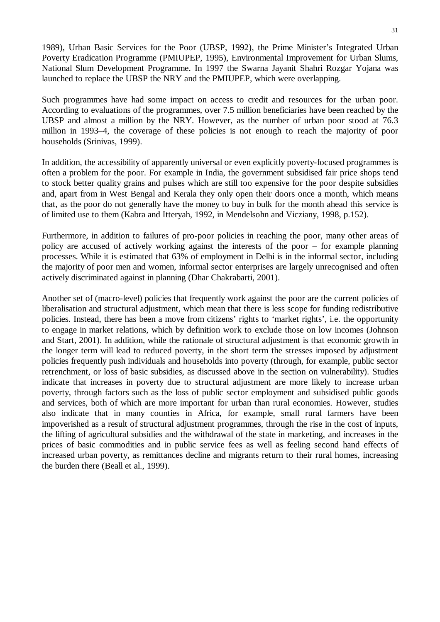1989), Urban Basic Services for the Poor (UBSP, 1992), the Prime Minister's Integrated Urban Poverty Eradication Programme (PMIUPEP, 1995), Environmental Improvement for Urban Slums, National Slum Development Programme. In 1997 the Swarna Jayanit Shahri Rozgar Yojana was launched to replace the UBSP the NRY and the PMIUPEP, which were overlapping.

Such programmes have had some impact on access to credit and resources for the urban poor. According to evaluations of the programmes, over 7.5 million beneficiaries have been reached by the UBSP and almost a million by the NRY. However, as the number of urban poor stood at 76.3 million in 1993–4, the coverage of these policies is not enough to reach the majority of poor households (Srinivas, 1999).

In addition, the accessibility of apparently universal or even explicitly poverty-focused programmes is often a problem for the poor. For example in India, the government subsidised fair price shops tend to stock better quality grains and pulses which are still too expensive for the poor despite subsidies and, apart from in West Bengal and Kerala they only open their doors once a month, which means that, as the poor do not generally have the money to buy in bulk for the month ahead this service is of limited use to them (Kabra and Itteryah, 1992, in Mendelsohn and Vicziany, 1998, p.152).

Furthermore, in addition to failures of pro-poor policies in reaching the poor, many other areas of policy are accused of actively working against the interests of the poor – for example planning processes. While it is estimated that 63% of employment in Delhi is in the informal sector, including the majority of poor men and women, informal sector enterprises are largely unrecognised and often actively discriminated against in planning (Dhar Chakrabarti, 2001).

Another set of (macro-level) policies that frequently work against the poor are the current policies of liberalisation and structural adjustment, which mean that there is less scope for funding redistributive policies. Instead, there has been a move from citizens' rights to 'market rights', i.e. the opportunity to engage in market relations, which by definition work to exclude those on low incomes (Johnson and Start, 2001). In addition, while the rationale of structural adjustment is that economic growth in the longer term will lead to reduced poverty, in the short term the stresses imposed by adjustment policies frequently push individuals and households into poverty (through, for example, public sector retrenchment, or loss of basic subsidies, as discussed above in the section on vulnerability). Studies indicate that increases in poverty due to structural adjustment are more likely to increase urban poverty, through factors such as the loss of public sector employment and subsidised public goods and services, both of which are more important for urban than rural economies. However, studies also indicate that in many counties in Africa, for example, small rural farmers have been impoverished as a result of structural adjustment programmes, through the rise in the cost of inputs, the lifting of agricultural subsidies and the withdrawal of the state in marketing, and increases in the prices of basic commodities and in public service fees as well as feeling second hand effects of increased urban poverty, as remittances decline and migrants return to their rural homes, increasing the burden there (Beall et al., 1999).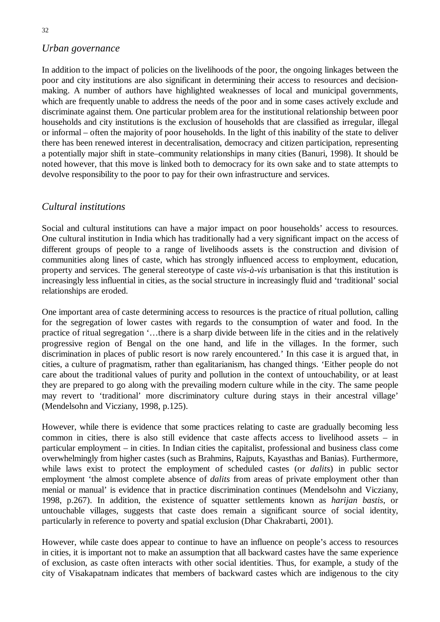#### *Urban governance*

In addition to the impact of policies on the livelihoods of the poor, the ongoing linkages between the poor and city institutions are also significant in determining their access to resources and decisionmaking. A number of authors have highlighted weaknesses of local and municipal governments, which are frequently unable to address the needs of the poor and in some cases actively exclude and discriminate against them. One particular problem area for the institutional relationship between poor households and city institutions is the exclusion of households that are classified as irregular, illegal or informal – often the majority of poor households. In the light of this inability of the state to deliver there has been renewed interest in decentralisation, democracy and citizen participation, representing a potentially major shift in state–community relationships in many cities (Banuri, 1998). It should be noted however, that this move is linked both to democracy for its own sake and to state attempts to devolve responsibility to the poor to pay for their own infrastructure and services.

### *Cultural institutions*

Social and cultural institutions can have a major impact on poor households' access to resources. One cultural institution in India which has traditionally had a very significant impact on the access of different groups of people to a range of livelihoods assets is the construction and division of communities along lines of caste, which has strongly influenced access to employment, education, property and services. The general stereotype of caste *vis-à-vis* urbanisation is that this institution is increasingly less influential in cities, as the social structure in increasingly fluid and 'traditional' social relationships are eroded.

One important area of caste determining access to resources is the practice of ritual pollution, calling for the segregation of lower castes with regards to the consumption of water and food. In the practice of ritual segregation '…there is a sharp divide between life in the cities and in the relatively progressive region of Bengal on the one hand, and life in the villages. In the former, such discrimination in places of public resort is now rarely encountered.' In this case it is argued that, in cities, a culture of pragmatism, rather than egalitarianism, has changed things. 'Either people do not care about the traditional values of purity and pollution in the context of untouchability, or at least they are prepared to go along with the prevailing modern culture while in the city. The same people may revert to 'traditional' more discriminatory culture during stays in their ancestral village' (Mendelsohn and Vicziany, 1998, p.125).

However, while there is evidence that some practices relating to caste are gradually becoming less common in cities, there is also still evidence that caste affects access to livelihood assets – in particular employment – in cities. In Indian cities the capitalist, professional and business class come overwhelmingly from higher castes (such as Brahmins, Rajputs, Kayasthas and Banias). Furthermore, while laws exist to protect the employment of scheduled castes (or *dalits*) in public sector employment 'the almost complete absence of *dalits* from areas of private employment other than menial or manual' is evidence that in practice discrimination continues (Mendelsohn and Vicziany, 1998, p.267). In addition, the existence of squatter settlements known as *harijan bastis*, or untouchable villages, suggests that caste does remain a significant source of social identity, particularly in reference to poverty and spatial exclusion (Dhar Chakrabarti, 2001).

However, while caste does appear to continue to have an influence on people's access to resources in cities, it is important not to make an assumption that all backward castes have the same experience of exclusion, as caste often interacts with other social identities. Thus, for example, a study of the city of Visakapatnam indicates that members of backward castes which are indigenous to the city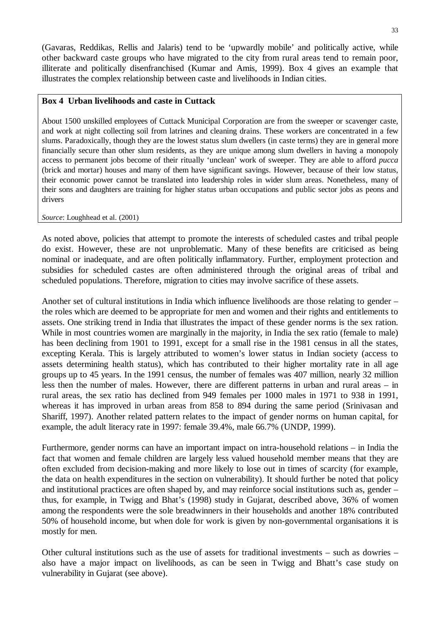(Gavaras, Reddikas, Rellis and Jalaris) tend to be 'upwardly mobile' and politically active, while other backward caste groups who have migrated to the city from rural areas tend to remain poor, illiterate and politically disenfranchised (Kumar and Amis, 1999). Box 4 gives an example that illustrates the complex relationship between caste and livelihoods in Indian cities.

#### **Box 4 Urban livelihoods and caste in Cuttack**

About 1500 unskilled employees of Cuttack Municipal Corporation are from the sweeper or scavenger caste, and work at night collecting soil from latrines and cleaning drains. These workers are concentrated in a few slums. Paradoxically, though they are the lowest status slum dwellers (in caste terms) they are in general more financially secure than other slum residents, as they are unique among slum dwellers in having a monopoly access to permanent jobs become of their ritually 'unclean' work of sweeper. They are able to afford *pucca* (brick and mortar) houses and many of them have significant savings. However, because of their low status, their economic power cannot be translated into leadership roles in wider slum areas. Nonetheless, many of their sons and daughters are training for higher status urban occupations and public sector jobs as peons and drivers

*Source*: Loughhead et al. (2001)

As noted above, policies that attempt to promote the interests of scheduled castes and tribal people do exist. However, these are not unproblematic. Many of these benefits are criticised as being nominal or inadequate, and are often politically inflammatory. Further, employment protection and subsidies for scheduled castes are often administered through the original areas of tribal and scheduled populations. Therefore, migration to cities may involve sacrifice of these assets.

Another set of cultural institutions in India which influence livelihoods are those relating to gender – the roles which are deemed to be appropriate for men and women and their rights and entitlements to assets. One striking trend in India that illustrates the impact of these gender norms is the sex ration. While in most countries women are marginally in the majority, in India the sex ratio (female to male) has been declining from 1901 to 1991, except for a small rise in the 1981 census in all the states, excepting Kerala. This is largely attributed to women's lower status in Indian society (access to assets determining health status), which has contributed to their higher mortality rate in all age groups up to 45 years. In the 1991 census, the number of females was 407 million, nearly 32 million less then the number of males. However, there are different patterns in urban and rural areas – in rural areas, the sex ratio has declined from 949 females per 1000 males in 1971 to 938 in 1991, whereas it has improved in urban areas from 858 to 894 during the same period (Srinivasan and Shariff, 1997). Another related pattern relates to the impact of gender norms on human capital, for example, the adult literacy rate in 1997: female 39.4%, male 66.7% (UNDP, 1999).

Furthermore, gender norms can have an important impact on intra-household relations – in India the fact that women and female children are largely less valued household member means that they are often excluded from decision-making and more likely to lose out in times of scarcity (for example, the data on health expenditures in the section on vulnerability). It should further be noted that policy and institutional practices are often shaped by, and may reinforce social institutions such as, gender – thus, for example, in Twigg and Bhat's (1998) study in Gujarat, described above, 36% of women among the respondents were the sole breadwinners in their households and another 18% contributed 50% of household income, but when dole for work is given by non-governmental organisations it is mostly for men.

Other cultural institutions such as the use of assets for traditional investments – such as dowries – also have a major impact on livelihoods, as can be seen in Twigg and Bhatt's case study on vulnerability in Gujarat (see above).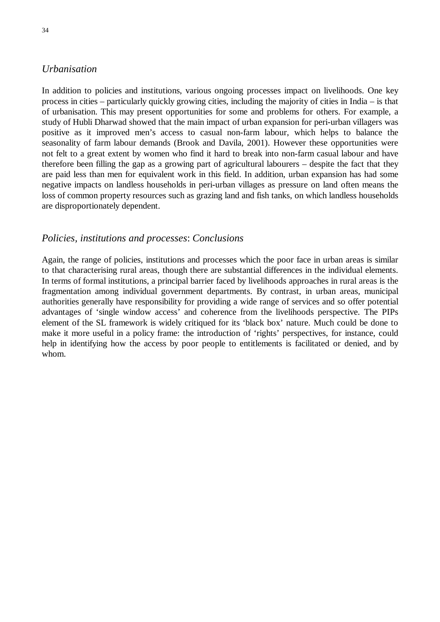### *Urbanisation*

In addition to policies and institutions, various ongoing processes impact on livelihoods. One key process in cities – particularly quickly growing cities, including the majority of cities in India – is that of urbanisation. This may present opportunities for some and problems for others. For example, a study of Hubli Dharwad showed that the main impact of urban expansion for peri-urban villagers was positive as it improved men's access to casual non-farm labour, which helps to balance the seasonality of farm labour demands (Brook and Davila, 2001). However these opportunities were not felt to a great extent by women who find it hard to break into non-farm casual labour and have therefore been filling the gap as a growing part of agricultural labourers – despite the fact that they are paid less than men for equivalent work in this field. In addition, urban expansion has had some negative impacts on landless households in peri-urban villages as pressure on land often means the loss of common property resources such as grazing land and fish tanks, on which landless households are disproportionately dependent.

#### *Policies, institutions and processes*: *Conclusions*

Again, the range of policies, institutions and processes which the poor face in urban areas is similar to that characterising rural areas, though there are substantial differences in the individual elements. In terms of formal institutions, a principal barrier faced by livelihoods approaches in rural areas is the fragmentation among individual government departments. By contrast, in urban areas, municipal authorities generally have responsibility for providing a wide range of services and so offer potential advantages of 'single window access' and coherence from the livelihoods perspective. The PIPs element of the SL framework is widely critiqued for its 'black box' nature. Much could be done to make it more useful in a policy frame: the introduction of 'rights' perspectives, for instance, could help in identifying how the access by poor people to entitlements is facilitated or denied, and by whom.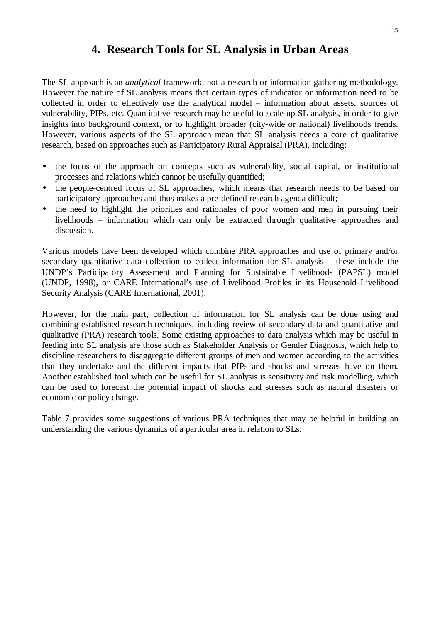# **4. Research Tools for SL Analysis in Urban Areas**

The SL approach is an *analytical* framework, not a research or information gathering methodology. However the nature of SL analysis means that certain types of indicator or information need to be collected in order to effectively use the analytical model – information about assets, sources of vulnerability, PIPs, etc. Quantitative research may be useful to scale up SL analysis, in order to give insights into background context, or to highlight broader (city-wide or national) livelihoods trends. However, various aspects of the SL approach mean that SL analysis needs a core of qualitative research, based on approaches such as Participatory Rural Appraisal (PRA), including:

- the focus of the approach on concepts such as vulnerability, social capital, or institutional processes and relations which cannot be usefully quantified;
- the people-centred focus of SL approaches, which means that research needs to be based on participatory approaches and thus makes a pre-defined research agenda difficult;
- the need to highlight the priorities and rationales of poor women and men in pursuing their livelihoods – information which can only be extracted through qualitative approaches and discussion.

Various models have been developed which combine PRA approaches and use of primary and/or secondary quantitative data collection to collect information for SL analysis – these include the UNDP's Participatory Assessment and Planning for Sustainable Livelihoods (PAPSL) model (UNDP, 1998), or CARE International's use of Livelihood Profiles in its Household Livelihood Security Analysis (CARE International, 2001).

However, for the main part, collection of information for SL analysis can be done using and combining established research techniques, including review of secondary data and quantitative and qualitative (PRA) research tools. Some existing approaches to data analysis which may be useful in feeding into SL analysis are those such as Stakeholder Analysis or Gender Diagnosis, which help to discipline researchers to disaggregate different groups of men and women according to the activities that they undertake and the different impacts that PIPs and shocks and stresses have on them. Another established tool which can be useful for SL analysis is sensitivity and risk modelling, which can be used to forecast the potential impact of shocks and stresses such as natural disasters or economic or policy change.

Table 7 provides some suggestions of various PRA techniques that may be helpful in building an understanding the various dynamics of a particular area in relation to SLs: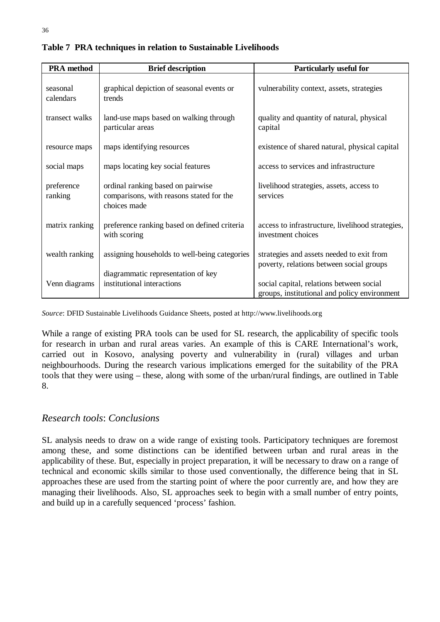| <b>PRA</b> method     | <b>Brief description</b>                                                                      | <b>Particularly useful for</b>                                                           |
|-----------------------|-----------------------------------------------------------------------------------------------|------------------------------------------------------------------------------------------|
| seasonal<br>calendars | graphical depiction of seasonal events or<br>trends                                           | vulnerability context, assets, strategies                                                |
| transect walks        | land-use maps based on walking through<br>particular areas                                    | quality and quantity of natural, physical<br>capital                                     |
| resource maps         | maps identifying resources                                                                    | existence of shared natural, physical capital                                            |
| social maps           | maps locating key social features                                                             | access to services and infrastructure                                                    |
| preference<br>ranking | ordinal ranking based on pairwise<br>comparisons, with reasons stated for the<br>choices made | livelihood strategies, assets, access to<br>services                                     |
| matrix ranking        | preference ranking based on defined criteria<br>with scoring                                  | access to infrastructure, livelihood strategies,<br>investment choices                   |
| wealth ranking        | assigning households to well-being categories                                                 | strategies and assets needed to exit from<br>poverty, relations between social groups    |
| Venn diagrams         | diagrammatic representation of key<br>institutional interactions                              | social capital, relations between social<br>groups, institutional and policy environment |

**Table 7 PRA techniques in relation to Sustainable Livelihoods**

*Source*: DFID Sustainable Livelihoods Guidance Sheets, posted at http://www.livelihoods.org

While a range of existing PRA tools can be used for SL research, the applicability of specific tools for research in urban and rural areas varies. An example of this is CARE International's work, carried out in Kosovo, analysing poverty and vulnerability in (rural) villages and urban neighbourhoods. During the research various implications emerged for the suitability of the PRA tools that they were using – these, along with some of the urban/rural findings, are outlined in Table 8.

# *Research tools*: *Conclusions*

SL analysis needs to draw on a wide range of existing tools. Participatory techniques are foremost among these, and some distinctions can be identified between urban and rural areas in the applicability of these. But, especially in project preparation, it will be necessary to draw on a range of technical and economic skills similar to those used conventionally, the difference being that in SL approaches these are used from the starting point of where the poor currently are, and how they are managing their livelihoods. Also, SL approaches seek to begin with a small number of entry points, and build up in a carefully sequenced 'process' fashion.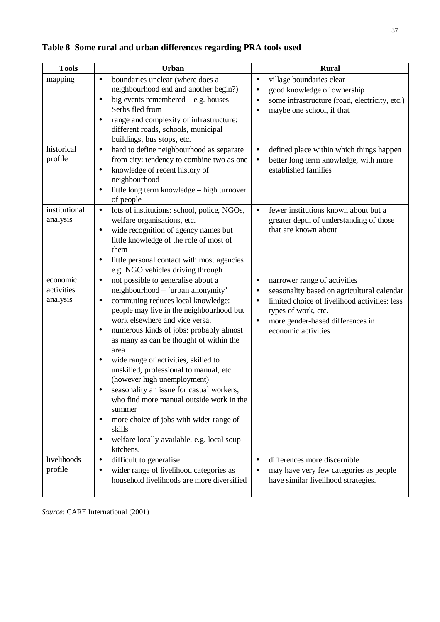| <b>Tools</b>                       | Urban                                                                                                                                                                                                                                                                                                                                                                                                                                                                                                                                                                                                                                                               | <b>Rural</b>                                                                                                                                                                                                                                      |
|------------------------------------|---------------------------------------------------------------------------------------------------------------------------------------------------------------------------------------------------------------------------------------------------------------------------------------------------------------------------------------------------------------------------------------------------------------------------------------------------------------------------------------------------------------------------------------------------------------------------------------------------------------------------------------------------------------------|---------------------------------------------------------------------------------------------------------------------------------------------------------------------------------------------------------------------------------------------------|
| mapping                            | boundaries unclear (where does a<br>٠<br>neighbourhood end and another begin?)<br>big events remembered $-$ e.g. houses<br>$\bullet$<br>Serbs fled from<br>range and complexity of infrastructure:<br>٠<br>different roads, schools, municipal<br>buildings, bus stops, etc.                                                                                                                                                                                                                                                                                                                                                                                        | village boundaries clear<br>٠<br>good knowledge of ownership<br>$\bullet$<br>some infrastructure (road, electricity, etc.)<br>$\bullet$<br>maybe one school, if that<br>$\bullet$                                                                 |
| historical<br>profile              | hard to define neighbourhood as separate<br>$\bullet$<br>from city: tendency to combine two as one<br>knowledge of recent history of<br>$\bullet$<br>neighbourhood<br>little long term knowledge - high turnover<br>٠<br>of people                                                                                                                                                                                                                                                                                                                                                                                                                                  | defined place within which things happen<br>$\bullet$<br>better long term knowledge, with more<br>٠<br>established families                                                                                                                       |
| institutional<br>analysis          | lots of institutions: school, police, NGOs,<br>$\bullet$<br>welfare organisations, etc.<br>wide recognition of agency names but<br>٠<br>little knowledge of the role of most of<br>them<br>little personal contact with most agencies<br>e.g. NGO vehicles driving through                                                                                                                                                                                                                                                                                                                                                                                          | fewer institutions known about but a<br>$\bullet$<br>greater depth of understanding of those<br>that are known about                                                                                                                              |
| economic<br>activities<br>analysis | not possible to generalise about a<br>$\bullet$<br>neighbourhood - 'urban anonymity'<br>commuting reduces local knowledge:<br>٠<br>people may live in the neighbourhood but<br>work elsewhere and vice versa.<br>numerous kinds of jobs: probably almost<br>٠<br>as many as can be thought of within the<br>area<br>wide range of activities, skilled to<br>٠<br>unskilled, professional to manual, etc.<br>(however high unemployment)<br>seasonality an issue for casual workers,<br>who find more manual outside work in the<br>summer<br>more choice of jobs with wider range of<br>٠<br>skills<br>welfare locally available, e.g. local soup<br>٠<br>kitchens. | narrower range of activities<br>٠<br>seasonality based on agricultural calendar<br>٠<br>limited choice of livelihood activities: less<br>$\bullet$<br>types of work, etc.<br>more gender-based differences in<br>$\bullet$<br>economic activities |
| livelihoods<br>profile             | difficult to generalise<br>$\bullet$<br>wider range of livelihood categories as<br>household livelihoods are more diversified                                                                                                                                                                                                                                                                                                                                                                                                                                                                                                                                       | differences more discernible<br>$\bullet$<br>may have very few categories as people<br>have similar livelihood strategies.                                                                                                                        |

# **Table 8 Some rural and urban differences regarding PRA tools used**

*Source*: CARE International (2001)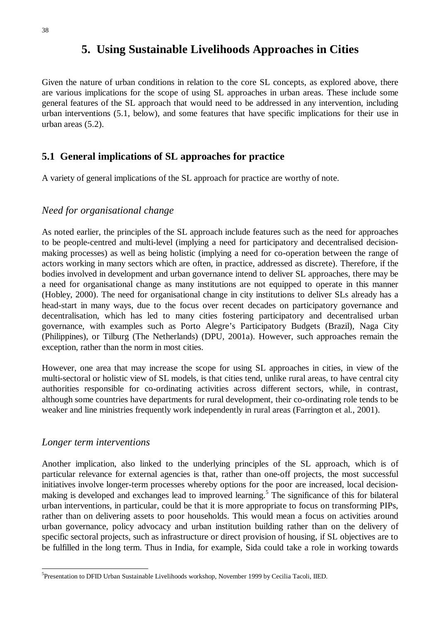# **5. Using Sustainable Livelihoods Approaches in Cities**

Given the nature of urban conditions in relation to the core SL concepts, as explored above, there are various implications for the scope of using SL approaches in urban areas. These include some general features of the SL approach that would need to be addressed in any intervention, including urban interventions (5.1, below), and some features that have specific implications for their use in urban areas (5.2).

# **5.1 General implications of SL approaches for practice**

A variety of general implications of the SL approach for practice are worthy of note.

### *Need for organisational change*

As noted earlier, the principles of the SL approach include features such as the need for approaches to be people-centred and multi-level (implying a need for participatory and decentralised decisionmaking processes) as well as being holistic (implying a need for co-operation between the range of actors working in many sectors which are often, in practice, addressed as discrete). Therefore, if the bodies involved in development and urban governance intend to deliver SL approaches, there may be a need for organisational change as many institutions are not equipped to operate in this manner (Hobley, 2000). The need for organisational change in city institutions to deliver SLs already has a head-start in many ways, due to the focus over recent decades on participatory governance and decentralisation, which has led to many cities fostering participatory and decentralised urban governance, with examples such as Porto Alegre's Participatory Budgets (Brazil), Naga City (Philippines), or Tilburg (The Netherlands) (DPU, 2001a). However, such approaches remain the exception, rather than the norm in most cities.

However, one area that may increase the scope for using SL approaches in cities, in view of the multi-sectoral or holistic view of SL models, is that cities tend, unlike rural areas, to have central city authorities responsible for co-ordinating activities across different sectors, while, in contrast, although some countries have departments for rural development, their co-ordinating role tends to be weaker and line ministries frequently work independently in rural areas (Farrington et al., 2001).

#### *Longer term interventions*

Another implication, also linked to the underlying principles of the SL approach, which is of particular relevance for external agencies is that, rather than one-off projects, the most successful initiatives involve longer-term processes whereby options for the poor are increased, local decisionmaking is developed and exchanges lead to improved learning.<sup>5</sup> The significance of this for bilateral urban interventions, in particular, could be that it is more appropriate to focus on transforming PIPs, rather than on delivering assets to poor households. This would mean a focus on activities around urban governance, policy advocacy and urban institution building rather than on the delivery of specific sectoral projects, such as infrastructure or direct provision of housing, if SL objectives are to be fulfilled in the long term. Thus in India, for example, Sida could take a role in working towards

<sup>&</sup>lt;sup>5</sup>Presentation to DFID Urban Sustainable Livelihoods workshop, November 1999 by Cecilia Tacoli, IIED.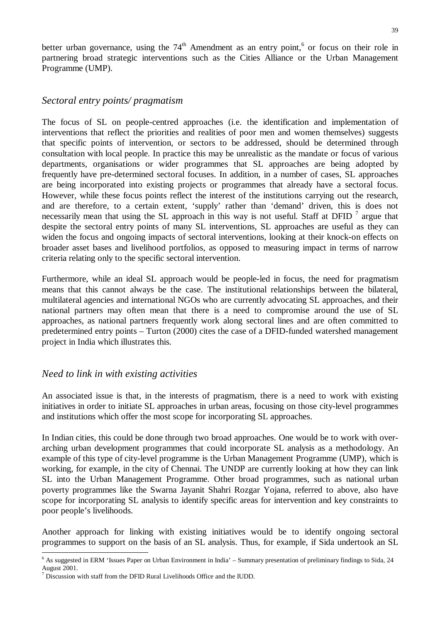better urban governance, using the  $74<sup>th</sup>$  Amendment as an entry point,<sup>6</sup> or focus on their role in partnering broad strategic interventions such as the Cities Alliance or the Urban Management Programme (UMP).

#### *Sectoral entry points/ pragmatism*

The focus of SL on people-centred approaches (i.e. the identification and implementation of interventions that reflect the priorities and realities of poor men and women themselves) suggests that specific points of intervention, or sectors to be addressed, should be determined through consultation with local people. In practice this may be unrealistic as the mandate or focus of various departments, organisations or wider programmes that SL approaches are being adopted by frequently have pre-determined sectoral focuses. In addition, in a number of cases, SL approaches are being incorporated into existing projects or programmes that already have a sectoral focus. However, while these focus points reflect the interest of the institutions carrying out the research, and are therefore, to a certain extent, 'supply' rather than 'demand' driven, this is does not necessarily mean that using the SL approach in this way is not useful. Staff at DFID  $<sup>7</sup>$  argue that</sup> despite the sectoral entry points of many SL interventions, SL approaches are useful as they can widen the focus and ongoing impacts of sectoral interventions, looking at their knock-on effects on broader asset bases and livelihood portfolios, as opposed to measuring impact in terms of narrow criteria relating only to the specific sectoral intervention.

Furthermore, while an ideal SL approach would be people-led in focus, the need for pragmatism means that this cannot always be the case. The institutional relationships between the bilateral, multilateral agencies and international NGOs who are currently advocating SL approaches, and their national partners may often mean that there is a need to compromise around the use of SL approaches, as national partners frequently work along sectoral lines and are often committed to predetermined entry points – Turton (2000) cites the case of a DFID-funded watershed management project in India which illustrates this.

#### *Need to link in with existing activities*

An associated issue is that, in the interests of pragmatism, there is a need to work with existing initiatives in order to initiate SL approaches in urban areas, focusing on those city-level programmes and institutions which offer the most scope for incorporating SL approaches.

In Indian cities, this could be done through two broad approaches. One would be to work with overarching urban development programmes that could incorporate SL analysis as a methodology. An example of this type of city-level programme is the Urban Management Programme (UMP), which is working, for example, in the city of Chennai. The UNDP are currently looking at how they can link SL into the Urban Management Programme. Other broad programmes, such as national urban poverty programmes like the Swarna Jayanit Shahri Rozgar Yojana, referred to above, also have scope for incorporating SL analysis to identify specific areas for intervention and key constraints to poor people's livelihoods.

Another approach for linking with existing initiatives would be to identify ongoing sectoral programmes to support on the basis of an SL analysis. Thus, for example, if Sida undertook an SL

 $6$  As suggested in ERM 'Issues Paper on Urban Environment in India' – Summary presentation of preliminary findings to Sida, 24 August 2001.

 $7$  Discussion with staff from the DFID Rural Livelihoods Office and the IUDD.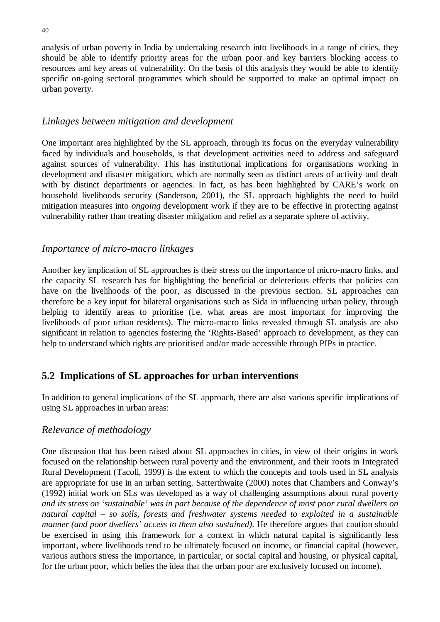analysis of urban poverty in India by undertaking research into livelihoods in a range of cities, they should be able to identify priority areas for the urban poor and key barriers blocking access to resources and key areas of vulnerability. On the basis of this analysis they would be able to identify specific on-going sectoral programmes which should be supported to make an optimal impact on urban poverty.

### *Linkages between mitigation and development*

One important area highlighted by the SL approach, through its focus on the everyday vulnerability faced by individuals and households, is that development activities need to address and safeguard against sources of vulnerability. This has institutional implications for organisations working in development and disaster mitigation, which are normally seen as distinct areas of activity and dealt with by distinct departments or agencies. In fact, as has been highlighted by CARE's work on household livelihoods security (Sanderson, 2001), the SL approach highlights the need to build mitigation measures into *ongoing* development work if they are to be effective in protecting against vulnerability rather than treating disaster mitigation and relief as a separate sphere of activity.

### *Importance of micro-macro linkages*

Another key implication of SL approaches is their stress on the importance of micro-macro links, and the capacity SL research has for highlighting the beneficial or deleterious effects that policies can have on the livelihoods of the poor, as discussed in the previous section. SL approaches can therefore be a key input for bilateral organisations such as Sida in influencing urban policy, through helping to identify areas to prioritise (i.e. what areas are most important for improving the livelihoods of poor urban residents). The micro-macro links revealed through SL analysis are also significant in relation to agencies fostering the 'Rights-Based' approach to development, as they can help to understand which rights are prioritised and/or made accessible through PIPs in practice.

# **5.2 Implications of SL approaches for urban interventions**

In addition to general implications of the SL approach, there are also various specific implications of using SL approaches in urban areas:

# *Relevance of methodology*

One discussion that has been raised about SL approaches in cities, in view of their origins in work focused on the relationship between rural poverty and the environment, and their roots in Integrated Rural Development (Tacoli, 1999) is the extent to which the concepts and tools used in SL analysis are appropriate for use in an urban setting. Satterthwaite (2000) notes that Chambers and Conway's (1992) initial work on SLs was developed as a way of challenging assumptions about rural poverty *and its stress on 'sustainable' was in part because of the dependence of most poor rural dwellers on natural capital – so soils, forests and freshwater systems needed to exploited in a sustainable manner (and poor dwellers' access to them also sustained).* He therefore argues that caution should be exercised in using this framework for a context in which natural capital is significantly less important, where livelihoods tend to be ultimately focused on income, or financial capital (however, various authors stress the importance, in particular, or social capital and housing, or physical capital, for the urban poor, which belies the idea that the urban poor are exclusively focused on income).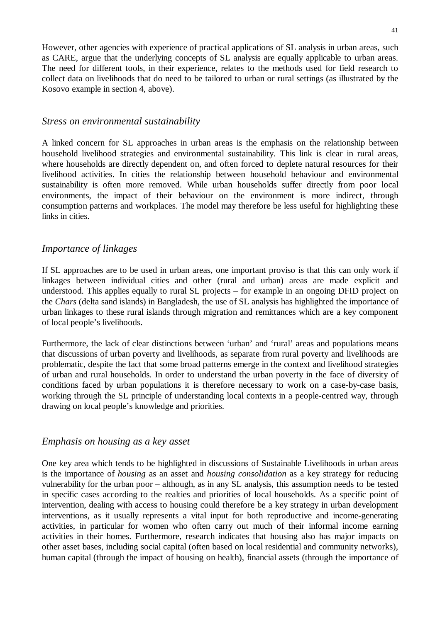However, other agencies with experience of practical applications of SL analysis in urban areas, such as CARE, argue that the underlying concepts of SL analysis are equally applicable to urban areas. The need for different tools, in their experience, relates to the methods used for field research to collect data on livelihoods that do need to be tailored to urban or rural settings (as illustrated by the Kosovo example in section 4, above).

#### *Stress on environmental sustainability*

A linked concern for SL approaches in urban areas is the emphasis on the relationship between household livelihood strategies and environmental sustainability. This link is clear in rural areas, where households are directly dependent on, and often forced to deplete natural resources for their livelihood activities. In cities the relationship between household behaviour and environmental sustainability is often more removed. While urban households suffer directly from poor local environments, the impact of their behaviour on the environment is more indirect, through consumption patterns and workplaces. The model may therefore be less useful for highlighting these links in cities.

#### *Importance of linkages*

If SL approaches are to be used in urban areas, one important proviso is that this can only work if linkages between individual cities and other (rural and urban) areas are made explicit and understood. This applies equally to rural SL projects – for example in an ongoing DFID project on the *Chars* (delta sand islands) in Bangladesh, the use of SL analysis has highlighted the importance of urban linkages to these rural islands through migration and remittances which are a key component of local people's livelihoods.

Furthermore, the lack of clear distinctions between 'urban' and 'rural' areas and populations means that discussions of urban poverty and livelihoods, as separate from rural poverty and livelihoods are problematic, despite the fact that some broad patterns emerge in the context and livelihood strategies of urban and rural households. In order to understand the urban poverty in the face of diversity of conditions faced by urban populations it is therefore necessary to work on a case-by-case basis, working through the SL principle of understanding local contexts in a people-centred way, through drawing on local people's knowledge and priorities.

#### *Emphasis on housing as a key asset*

One key area which tends to be highlighted in discussions of Sustainable Livelihoods in urban areas is the importance of *housing* as an asset and *housing consolidation* as a key strategy for reducing vulnerability for the urban poor – although, as in any SL analysis, this assumption needs to be tested in specific cases according to the realties and priorities of local households. As a specific point of intervention, dealing with access to housing could therefore be a key strategy in urban development interventions, as it usually represents a vital input for both reproductive and income-generating activities, in particular for women who often carry out much of their informal income earning activities in their homes. Furthermore, research indicates that housing also has major impacts on other asset bases, including social capital (often based on local residential and community networks), human capital (through the impact of housing on health), financial assets (through the importance of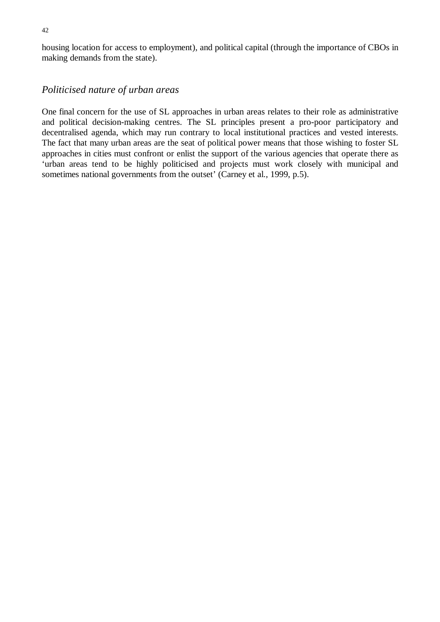housing location for access to employment), and political capital (through the importance of CBOs in making demands from the state).

#### *Politicised nature of urban areas*

One final concern for the use of SL approaches in urban areas relates to their role as administrative and political decision-making centres. The SL principles present a pro-poor participatory and decentralised agenda, which may run contrary to local institutional practices and vested interests. The fact that many urban areas are the seat of political power means that those wishing to foster SL approaches in cities must confront or enlist the support of the various agencies that operate there as 'urban areas tend to be highly politicised and projects must work closely with municipal and sometimes national governments from the outset' (Carney et al., 1999, p.5).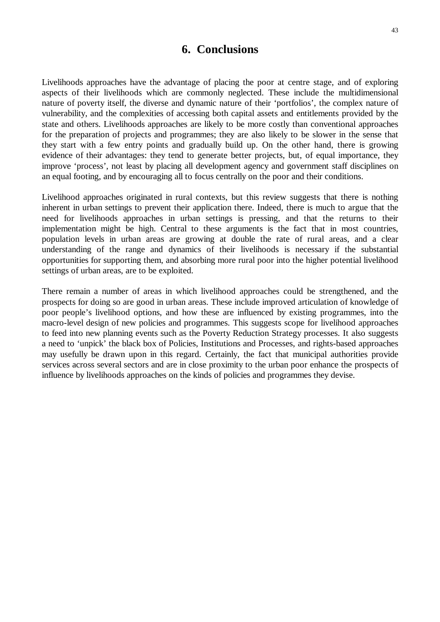# **6. Conclusions**

Livelihoods approaches have the advantage of placing the poor at centre stage, and of exploring aspects of their livelihoods which are commonly neglected. These include the multidimensional nature of poverty itself, the diverse and dynamic nature of their 'portfolios', the complex nature of vulnerability, and the complexities of accessing both capital assets and entitlements provided by the state and others. Livelihoods approaches are likely to be more costly than conventional approaches for the preparation of projects and programmes; they are also likely to be slower in the sense that they start with a few entry points and gradually build up. On the other hand, there is growing evidence of their advantages: they tend to generate better projects, but, of equal importance, they improve 'process', not least by placing all development agency and government staff disciplines on an equal footing, and by encouraging all to focus centrally on the poor and their conditions.

Livelihood approaches originated in rural contexts, but this review suggests that there is nothing inherent in urban settings to prevent their application there. Indeed, there is much to argue that the need for livelihoods approaches in urban settings is pressing, and that the returns to their implementation might be high. Central to these arguments is the fact that in most countries, population levels in urban areas are growing at double the rate of rural areas, and a clear understanding of the range and dynamics of their livelihoods is necessary if the substantial opportunities for supporting them, and absorbing more rural poor into the higher potential livelihood settings of urban areas, are to be exploited.

There remain a number of areas in which livelihood approaches could be strengthened, and the prospects for doing so are good in urban areas. These include improved articulation of knowledge of poor people's livelihood options, and how these are influenced by existing programmes, into the macro-level design of new policies and programmes. This suggests scope for livelihood approaches to feed into new planning events such as the Poverty Reduction Strategy processes. It also suggests a need to 'unpick' the black box of Policies, Institutions and Processes, and rights-based approaches may usefully be drawn upon in this regard. Certainly, the fact that municipal authorities provide services across several sectors and are in close proximity to the urban poor enhance the prospects of influence by livelihoods approaches on the kinds of policies and programmes they devise.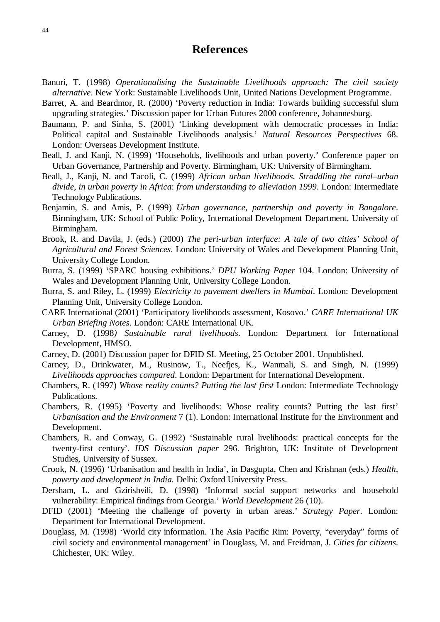# **References**

- Banuri, T. (1998) *Operationalising the Sustainable Livelihoods approach: The civil society alternative*. New York: Sustainable Livelihoods Unit, United Nations Development Programme.
- Barret, A. and Beardmor, R. (2000) 'Poverty reduction in India: Towards building successful slum upgrading strategies.' Discussion paper for Urban Futures 2000 conference, Johannesburg.
- Baumann, P. and Sinha, S. (2001) 'Linking development with democratic processes in India: Political capital and Sustainable Livelihoods analysis.' *Natural Resources Perspectives* 68. London: Overseas Development Institute.
- Beall, J. and Kanji, N. (1999) 'Households, livelihoods and urban poverty.' Conference paper on Urban Governance, Partnership and Poverty. Birmingham, UK: University of Birmingham.
- Beall, J., Kanji, N. and Tacoli, C. (1999) *African urban livelihoods. Straddling the rural–urban divide, in urban poverty in Africa*: *from understanding to alleviation 1999*. London: Intermediate Technology Publications.
- Benjamin, S. and Amis, P. (1999) *Urban governance, partnership and poverty in Bangalore*. Birmingham, UK: School of Public Policy, International Development Department, University of Birmingham.
- Brook, R. and Davila, J. (eds.) (2000) *The peri-urban interface: A tale of two cities' School of Agricultural and Forest Sciences*. London: University of Wales and Development Planning Unit, University College London.
- Burra, S. (1999) 'SPARC housing exhibitions.' *DPU Working Paper* 104. London: University of Wales and Development Planning Unit, University College London.
- Burra, S. and Riley, L. (1999) *Electricity to pavement dwellers in Mumbai*. London: Development Planning Unit, University College London.
- CARE International (2001) 'Participatory livelihoods assessment, Kosovo.' *CARE International UK Urban Briefing Notes*. London: CARE International UK.
- Carney, D. (1998*) Sustainable rural livelihoods*. London: Department for International Development, HMSO.
- Carney, D. (2001) Discussion paper for DFID SL Meeting, 25 October 2001. Unpublished.
- Carney, D., Drinkwater, M., Rusinow, T., Neefjes, K., Wanmali, S. and Singh, N. (1999) *Livelihoods approaches compared*. London: Department for International Development.
- Chambers, R. (1997) *Whose reality counts? Putting the last first* London: Intermediate Technology Publications.
- Chambers, R. (1995) 'Poverty and livelihoods: Whose reality counts? Putting the last first' *Urbanisation and the Environment* 7 (1). London: International Institute for the Environment and Development.
- Chambers, R. and Conway, G. (1992) 'Sustainable rural livelihoods: practical concepts for the twenty-first century'. *IDS Discussion paper* 296. Brighton, UK: Institute of Development Studies, University of Sussex.
- Crook, N. (1996) 'Urbanisation and health in India', in Dasgupta, Chen and Krishnan (eds.) *Health, poverty and development in India.* Delhi: Oxford University Press.
- Dersham, L. and Gzirishvili, D. (1998) 'Informal social support networks and household vulnerability: Empirical findings from Georgia.' *World Development* 26 (10).
- DFID (2001) 'Meeting the challenge of poverty in urban areas.' *Strategy Paper*. London: Department for International Development.
- Douglass, M. (1998) 'World city information. The Asia Pacific Rim: Poverty, "everyday" forms of civil society and environmental management' in Douglass, M. and Freidman, J. *Cities for citizens*. Chichester, UK: Wiley.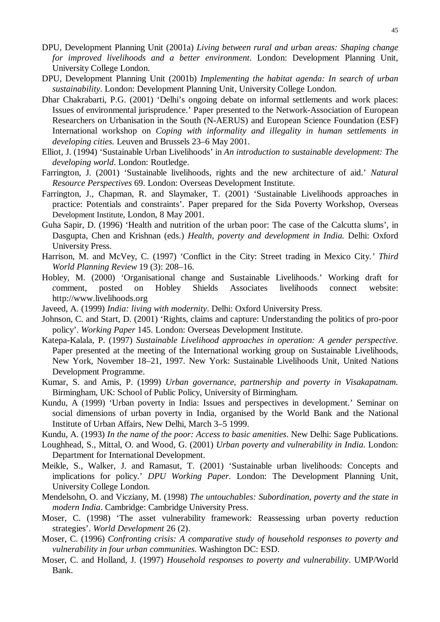- DPU, Development Planning Unit (2001a) *Living between rural and urban areas: Shaping change for improved livelihoods and a better environment*. London: Development Planning Unit, University College London.
- DPU, Development Planning Unit (2001b) *Implementing the habitat agenda: In search of urban sustainability*. London: Development Planning Unit, University College London.
- Dhar Chakrabarti, P.G. (2001) 'Delhi's ongoing debate on informal settlements and work places: Issues of environmental jurisprudence.' Paper presented to the Network-Association of European Researchers on Urbanisation in the South (N-AERUS) and European Science Foundation (ESF) International workshop on *Coping with informality and illegality in human settlements in developing cities.* Leuven and Brussels 23–6 May 2001.
- Elliot, J. (1994) 'Sustainable Urban Livelihoods' in *An introduction to sustainable development: The developing world*. London: Routledge.
- Farrington, J. (2001) 'Sustainable livelihoods, rights and the new architecture of aid.' *Natural Resource Perspectives* 69. London: Overseas Development Institute.
- Farrington, J., Chapman, R. and Slaymaker, T. (2001) 'Sustainable Livelihoods approaches in practice: Potentials and constraints'. Paper prepared for the Sida Poverty Workshop, Overseas Development Institute, London, 8 May 2001.
- Guha Sapir, D. (1996) 'Health and nutrition of the urban poor: The case of the Calcutta slums', in Dasgupta, Chen and Krishnan (eds.) *Health, poverty and development in India.* Delhi: Oxford University Press.
- Harrison, M. and McVey, C. (1997) 'Conflict in the City: Street trading in Mexico City.*' Third World Planning Review* 19 (3): 208–16.
- Hobley, M. (2000) 'Organisational change and Sustainable Livelihoods.' Working draft for *c*omment, posted on Hobley Shields Associates livelihoods connect website: http://www.livelihoods.org
- Javeed, A. (1999) *India: living with modernity*. Delhi: Oxford University Press.
- Johnson, C. and Start, D. (2001) 'Rights, claims and capture: Understanding the politics of pro-poor policy'. *Working Paper* 145. London: Overseas Development Institute.
- Katepa-Kalala, P. (1997) *Sustainable Livelihood approaches in operation: A gender perspective.* Paper presented at the meeting of the International working group on Sustainable Livelihoods, New York, November 18–21, 1997. New York: Sustainable Livelihoods Unit, United Nations Development Programme.
- Kumar, S. and Amis, P. (1999) *Urban governance, partnership and poverty in Visakapatnam.* Birmingham, UK: School of Public Policy, University of Birmingham.
- Kundu, A (1999) 'Urban poverty in India: Issues and perspectives in development.' Seminar on social dimensions of urban poverty in India*,* organised by the World Bank and the National Institute of Urban Affairs, New Delhi, March 3–5 1999.
- Kundu, A. (1993) *In the name of the poor: Access to basic amenities*. New Delhi: Sage Publications.
- Loughhead, S., Mittal, O. and Wood, G. (2001) *Urban poverty and vulnerability in India*. London: Department for International Development.
- Meikle, S., Walker, J. and Ramasut, T. (2001) 'Sustainable urban livelihoods: Concepts and implications for policy.' *DPU Working Paper*. London: The Development Planning Unit, University College London.
- Mendelsohn, O. and Vicziany, M. (1998) *The untouchables: Subordination, poverty and the state in modern India*. Cambridge: Cambridge University Press.
- Moser, C. (1998) 'The asset vulnerability framework: Reassessing urban poverty reduction strategies'. *World Development* 26 (2).
- Moser, C. (1996) *Confronting crisis: A comparative study of household responses to poverty and vulnerability in four urban communities*. Washington DC: ESD.
- Moser, C. and Holland, J. (1997) *Household responses to poverty and vulnerability*. UMP/World Bank.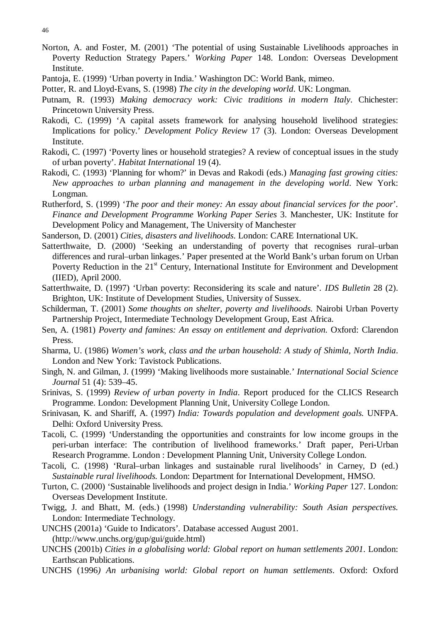Norton, A. and Foster, M. (2001) 'The potential of using Sustainable Livelihoods approaches in Poverty Reduction Strategy Papers.' *Working Paper* 148. London: Overseas Development Institute.

Potter, R. and Lloyd-Evans, S. (1998) *The city in the developing world*. UK: Longman.

- Putnam, R. (1993) *Making democracy work: Civic traditions in modern Italy*. Chichester: Princetown University Press.
- Rakodi, C. (1999) 'A capital assets framework for analysing household livelihood strategies: Implications for policy.' *Development Policy Review* 17 (3). London: Overseas Development Institute.
- Rakodi, C. (1997) 'Poverty lines or household strategies? A review of conceptual issues in the study of urban poverty'. *Habitat International* 19 (4).
- Rakodi, C. (1993) 'Planning for whom?' in Devas and Rakodi (eds.) *Managing fast growing cities: New approaches to urban planning and management in the developing world*. New York: Longman.
- Rutherford, S. (1999) '*The poor and their money: An essay about financial services for the poor*'*. Finance and Development Programme Working Paper Series* 3. Manchester, UK: Institute for Development Policy and Management, The University of Manchester

Sanderson, D. (2001) *Cities, disasters and livelihoods*. London: CARE International UK.

- Satterthwaite, D. (2000) 'Seeking an understanding of poverty that recognises rural–urban differences and rural–urban linkages.' Paper presented at the World Bank's urban forum on Urban Poverty Reduction in the  $21<sup>st</sup>$  Century, International Institute for Environment and Development (IIED), April 2000.
- Satterthwaite, D. (1997) 'Urban poverty: Reconsidering its scale and nature'*. IDS Bulletin* 28 (2). Brighton, UK: Institute of Development Studies, University of Sussex.
- Schilderman, T. (2001) *Some thoughts on shelter, poverty and livelihoods.* Nairobi Urban Poverty Partnership Project, Intermediate Technology Development Group, East Africa.
- Sen, A. (1981) *Poverty and famines: An essay on entitlement and deprivation.* Oxford: Clarendon Press.
- Sharma, U. (1986) *Women's work, class and the urban household: A study of Shimla, North India*. London and New York: Tavistock Publications.
- Singh, N. and Gilman, J. (1999) 'Making livelihoods more sustainable.' *International Social Science Journal* 51 (4): 539–45.
- Srinivas, S. (1999) *Review of urban poverty in India*. Report produced for the CLICS Research Programme. London: Development Planning Unit, University College London.
- Srinivasan, K. and Shariff, A. (1997) *India: Towards population and development goals.* UNFPA. Delhi: Oxford University Press.
- Tacoli, C. (1999) 'Understanding the opportunities and constraints for low income groups in the peri-urban interface: The contribution of livelihood frameworks.' Draft paper, Peri-Urban Research Programme. London : Development Planning Unit, University College London.
- Tacoli, C. (1998) 'Rural–urban linkages and sustainable rural livelihoods' in Carney, D (ed.) *Sustainable rural livelihoods.* London: Department for International Development, HMSO.
- Turton, C. (2000) 'Sustainable livelihoods and project design in India.' *Working Paper* 127. London: Overseas Development Institute.
- Twigg, J. and Bhatt, M. (eds.) (1998) *Understanding vulnerability: South Asian perspectives.* London: Intermediate Technology.
- UNCHS (2001a) 'Guide to Indicators'*.* Database accessed August 2001. (http://www.unchs.org/gup/gui/guide.html)
- UNCHS (2001b) *Cities in a globalising world: Global report on human settlements 2001*. London: Earthscan Publications.
- UNCHS (1996*) An urbanising world: Global report on human settlements*. Oxford: Oxford

Pantoja, E. (1999) 'Urban poverty in India.' Washington DC: World Bank, mimeo.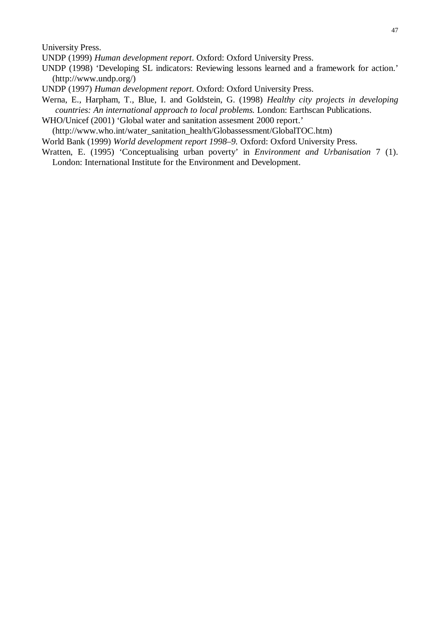University Press.

UNDP (1999) *Human development report*. Oxford: Oxford University Press.

- UNDP (1998) 'Developing SL indicators: Reviewing lessons learned and a framework for action.' (http://www.undp.org/)
- UNDP (1997) *Human development report*. Oxford: Oxford University Press.
- Werna, E., Harpham, T., Blue, I. and Goldstein, G. (1998) *Healthy city projects in developing countries: An international approach to local problems.* London: Earthscan Publications.
- WHO/Unicef (2001) 'Global water and sanitation assesment 2000 report.'

(http://www.who.int/water\_sanitation\_health/Globassessment/GlobalTOC.htm)

World Bank (1999) *World development report 1998–9.* Oxford: Oxford University Press.

Wratten, E. (1995) 'Conceptualising urban poverty' in *Environment and Urbanisation* 7 (1). London: International Institute for the Environment and Development.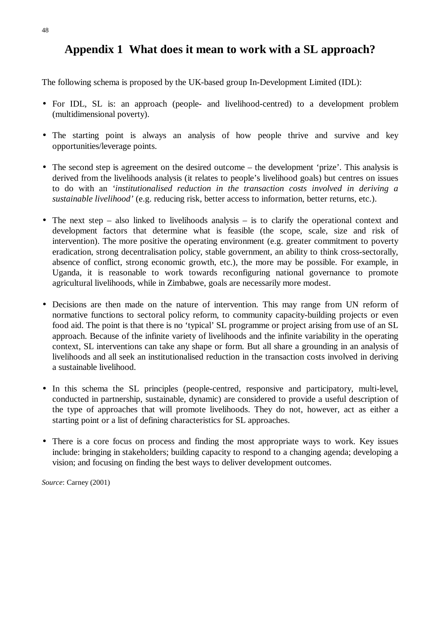# **Appendix 1 What does it mean to work with a SL approach?**

The following schema is proposed by the UK-based group In-Development Limited (IDL):

- For IDL, SL is: an approach (people- and livelihood-centred) to a development problem (multidimensional poverty).
- The starting point is always an analysis of how people thrive and survive and key opportunities/leverage points.
- The second step is agreement on the desired outcome the development 'prize'. This analysis is derived from the livelihoods analysis (it relates to people's livelihood goals) but centres on issues to do with an *'institutionalised reduction in the transaction costs involved in deriving a sustainable livelihood'* (e.g. reducing risk, better access to information, better returns, etc.).
- The next step also linked to livelihoods analysis is to clarify the operational context and development factors that determine what is feasible (the scope, scale, size and risk of intervention). The more positive the operating environment (e.g. greater commitment to poverty eradication, strong decentralisation policy, stable government, an ability to think cross-sectorally, absence of conflict, strong economic growth, etc.), the more may be possible. For example, in Uganda, it is reasonable to work towards reconfiguring national governance to promote agricultural livelihoods, while in Zimbabwe, goals are necessarily more modest.
- Decisions are then made on the nature of intervention. This may range from UN reform of normative functions to sectoral policy reform, to community capacity-building projects or even food aid. The point is that there is no 'typical' SL programme or project arising from use of an SL approach. Because of the infinite variety of livelihoods and the infinite variability in the operating context, SL interventions can take any shape or form. But all share a grounding in an analysis of livelihoods and all seek an institutionalised reduction in the transaction costs involved in deriving a sustainable livelihood.
- In this schema the SL principles (people-centred, responsive and participatory, multi-level, conducted in partnership, sustainable, dynamic) are considered to provide a useful description of the type of approaches that will promote livelihoods. They do not, however, act as either a starting point or a list of defining characteristics for SL approaches.
- There is a core focus on process and finding the most appropriate ways to work. Key issues include: bringing in stakeholders; building capacity to respond to a changing agenda; developing a vision; and focusing on finding the best ways to deliver development outcomes.

*Source*: Carney (2001)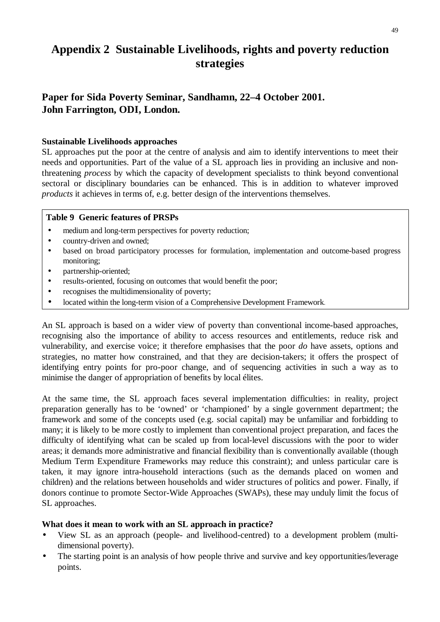# **Appendix 2 Sustainable Livelihoods, rights and poverty reduction strategies**

# **Paper for Sida Poverty Seminar, Sandhamn, 22–4 October 2001. John Farrington, ODI, London.**

#### **Sustainable Livelihoods approaches**

SL approaches put the poor at the centre of analysis and aim to identify interventions to meet their needs and opportunities. Part of the value of a SL approach lies in providing an inclusive and nonthreatening *process* by which the capacity of development specialists to think beyond conventional sectoral or disciplinary boundaries can be enhanced. This is in addition to whatever improved *products* it achieves in terms of, e.g. better design of the interventions themselves.

#### **Table 9 Generic features of PRSPs**

- medium and long-term perspectives for poverty reduction;
- country-driven and owned;
- based on broad participatory processes for formulation, implementation and outcome-based progress monitoring;
- partnership-oriented:
- results-oriented, focusing on outcomes that would benefit the poor;
- recognises the multidimensionality of poverty;
- located within the long-term vision of a Comprehensive Development Framework.

An SL approach is based on a wider view of poverty than conventional income-based approaches, recognising also the importance of ability to access resources and entitlements, reduce risk and vulnerability, and exercise voice; it therefore emphasises that the poor *do* have assets, options and strategies, no matter how constrained, and that they are decision-takers; it offers the prospect of identifying entry points for pro-poor change, and of sequencing activities in such a way as to minimise the danger of appropriation of benefits by local élites.

At the same time, the SL approach faces several implementation difficulties: in reality, project preparation generally has to be 'owned' or 'championed' by a single government department; the framework and some of the concepts used (e.g. social capital) may be unfamiliar and forbidding to many; it is likely to be more costly to implement than conventional project preparation, and faces the difficulty of identifying what can be scaled up from local-level discussions with the poor to wider areas; it demands more administrative and financial flexibility than is conventionally available (though Medium Term Expenditure Frameworks may reduce this constraint); and unless particular care is taken, it may ignore intra-household interactions (such as the demands placed on women and children) and the relations between households and wider structures of politics and power. Finally, if donors continue to promote Sector-Wide Approaches (SWAPs), these may unduly limit the focus of SL approaches.

#### **What does it mean to work with an SL approach in practice?**

- View SL as an approach (people- and livelihood-centred) to a development problem (multidimensional poverty).
- The starting point is an analysis of how people thrive and survive and key opportunities/leverage points.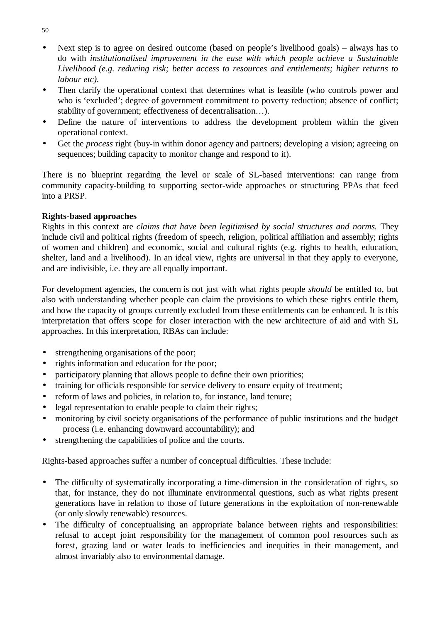- Next step is to agree on desired outcome (based on people's livelihood goals) always has to do with *institutionalised improvement in the ease with which people achieve a Sustainable Livelihood (e.g. reducing risk; better access to resources and entitlements; higher returns to labour etc).*
- Then clarify the operational context that determines what is feasible (who controls power and who is 'excluded'; degree of government commitment to poverty reduction; absence of conflict; stability of government; effectiveness of decentralisation…).
- Define the nature of interventions to address the development problem within the given operational context.
- Get the *process* right (buy-in within donor agency and partners; developing a vision; agreeing on sequences; building capacity to monitor change and respond to it).

There is no blueprint regarding the level or scale of SL-based interventions: can range from community capacity-building to supporting sector-wide approaches or structuring PPAs that feed into a PRSP.

#### **Rights-based approaches**

Rights in this context are *claims that have been legitimised by social structures and norms.* They include civil and political rights (freedom of speech, religion, political affiliation and assembly; rights of women and children) and economic, social and cultural rights (e.g. rights to health, education, shelter, land and a livelihood). In an ideal view, rights are universal in that they apply to everyone, and are indivisible, i.e. they are all equally important.

For development agencies, the concern is not just with what rights people *should* be entitled to, but also with understanding whether people can claim the provisions to which these rights entitle them, and how the capacity of groups currently excluded from these entitlements can be enhanced. It is this interpretation that offers scope for closer interaction with the new architecture of aid and with SL approaches. In this interpretation, RBAs can include:

- strengthening organisations of the poor;
- rights information and education for the poor;
- participatory planning that allows people to define their own priorities;
- training for officials responsible for service delivery to ensure equity of treatment:
- reform of laws and policies, in relation to, for instance, land tenure;
- legal representation to enable people to claim their rights;
- monitoring by civil society organisations of the performance of public institutions and the budget process (i.e. enhancing downward accountability); and
- strengthening the capabilities of police and the courts.

Rights-based approaches suffer a number of conceptual difficulties. These include:

- The difficulty of systematically incorporating a time-dimension in the consideration of rights, so that, for instance, they do not illuminate environmental questions, such as what rights present generations have in relation to those of future generations in the exploitation of non-renewable (or only slowly renewable) resources.
- The difficulty of conceptualising an appropriate balance between rights and responsibilities: refusal to accept joint responsibility for the management of common pool resources such as forest, grazing land or water leads to inefficiencies and inequities in their management, and almost invariably also to environmental damage.

50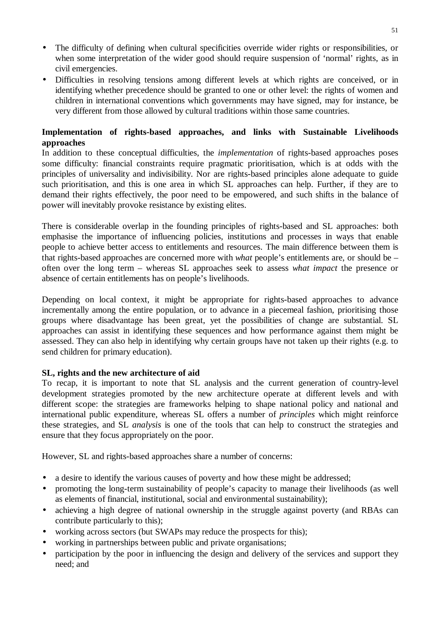- The difficulty of defining when cultural specificities override wider rights or responsibilities, or when some interpretation of the wider good should require suspension of 'normal' rights, as in civil emergencies.
- Difficulties in resolving tensions among different levels at which rights are conceived, or in identifying whether precedence should be granted to one or other level: the rights of women and children in international conventions which governments may have signed, may for instance, be very different from those allowed by cultural traditions within those same countries.

### **Implementation of rights-based approaches, and links with Sustainable Livelihoods approaches**

In addition to these conceptual difficulties, the *implementation* of rights-based approaches poses some difficulty: financial constraints require pragmatic prioritisation, which is at odds with the principles of universality and indivisibility. Nor are rights-based principles alone adequate to guide such prioritisation, and this is one area in which SL approaches can help. Further, if they are to demand their rights effectively, the poor need to be empowered, and such shifts in the balance of power will inevitably provoke resistance by existing elites.

There is considerable overlap in the founding principles of rights-based and SL approaches: both emphasise the importance of influencing policies, institutions and processes in ways that enable people to achieve better access to entitlements and resources. The main difference between them is that rights-based approaches are concerned more with *what* people's entitlements are, or should be – often over the long term – whereas SL approaches seek to assess *what impact* the presence or absence of certain entitlements has on people's livelihoods.

Depending on local context, it might be appropriate for rights-based approaches to advance incrementally among the entire population, or to advance in a piecemeal fashion, prioritising those groups where disadvantage has been great, yet the possibilities of change are substantial. SL approaches can assist in identifying these sequences and how performance against them might be assessed. They can also help in identifying why certain groups have not taken up their rights (e.g. to send children for primary education).

#### **SL, rights and the new architecture of aid**

To recap, it is important to note that SL analysis and the current generation of country-level development strategies promoted by the new architecture operate at different levels and with different scope: the strategies are frameworks helping to shape national policy and national and international public expenditure, whereas SL offers a number of *principles* which might reinforce these strategies, and SL *analysis* is one of the tools that can help to construct the strategies and ensure that they focus appropriately on the poor.

However, SL and rights-based approaches share a number of concerns:

- a desire to identify the various causes of poverty and how these might be addressed;
- promoting the long-term sustainability of people's capacity to manage their livelihoods (as well as elements of financial, institutional, social and environmental sustainability);
- achieving a high degree of national ownership in the struggle against poverty (and RBAs can contribute particularly to this);
- working across sectors (but SWAPs may reduce the prospects for this);
- working in partnerships between public and private organisations;
- participation by the poor in influencing the design and delivery of the services and support they need; and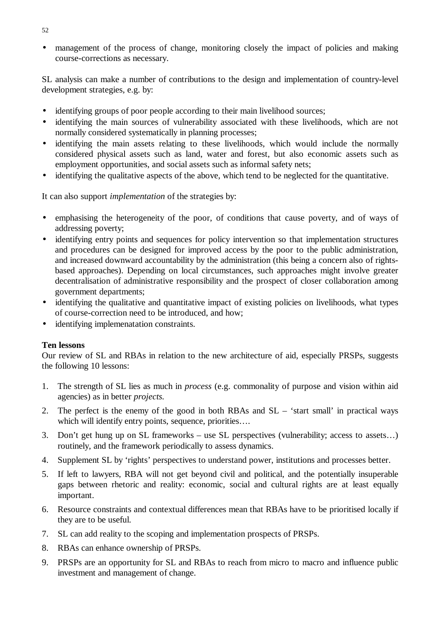• management of the process of change, monitoring closely the impact of policies and making course-corrections as necessary.

SL analysis can make a number of contributions to the design and implementation of country-level development strategies, e.g. by:

- identifying groups of poor people according to their main livelihood sources;
- identifying the main sources of vulnerability associated with these livelihoods, which are not normally considered systematically in planning processes;
- identifying the main assets relating to these livelihoods, which would include the normally considered physical assets such as land, water and forest, but also economic assets such as employment opportunities, and social assets such as informal safety nets;
- identifying the qualitative aspects of the above, which tend to be neglected for the quantitative.

It can also support *implementation* of the strategies by:

- emphasising the heterogeneity of the poor, of conditions that cause poverty, and of ways of addressing poverty;
- identifying entry points and sequences for policy intervention so that implementation structures and procedures can be designed for improved access by the poor to the public administration, and increased downward accountability by the administration (this being a concern also of rightsbased approaches). Depending on local circumstances, such approaches might involve greater decentralisation of administrative responsibility and the prospect of closer collaboration among government departments;
- identifying the qualitative and quantitative impact of existing policies on livelihoods, what types of course-correction need to be introduced, and how;
- identifying implemenatation constraints.

#### **Ten lessons**

Our review of SL and RBAs in relation to the new architecture of aid, especially PRSPs, suggests the following 10 lessons:

- 1. The strength of SL lies as much in *process* (e.g. commonality of purpose and vision within aid agencies) as in better *projects.*
- 2. The perfect is the enemy of the good in both RBAs and SL 'start small' in practical ways which will identify entry points, sequence, priorities....
- 3. Don't get hung up on SL frameworks use SL perspectives (vulnerability; access to assets…) routinely, and the framework periodically to assess dynamics.
- 4. Supplement SL by 'rights' perspectives to understand power, institutions and processes better.
- 5. If left to lawyers, RBA will not get beyond civil and political, and the potentially insuperable gaps between rhetoric and reality: economic, social and cultural rights are at least equally important.
- 6. Resource constraints and contextual differences mean that RBAs have to be prioritised locally if they are to be useful.
- 7. SL can add reality to the scoping and implementation prospects of PRSPs.
- 8. RBAs can enhance ownership of PRSPs.
- 9. PRSPs are an opportunity for SL and RBAs to reach from micro to macro and influence public investment and management of change.